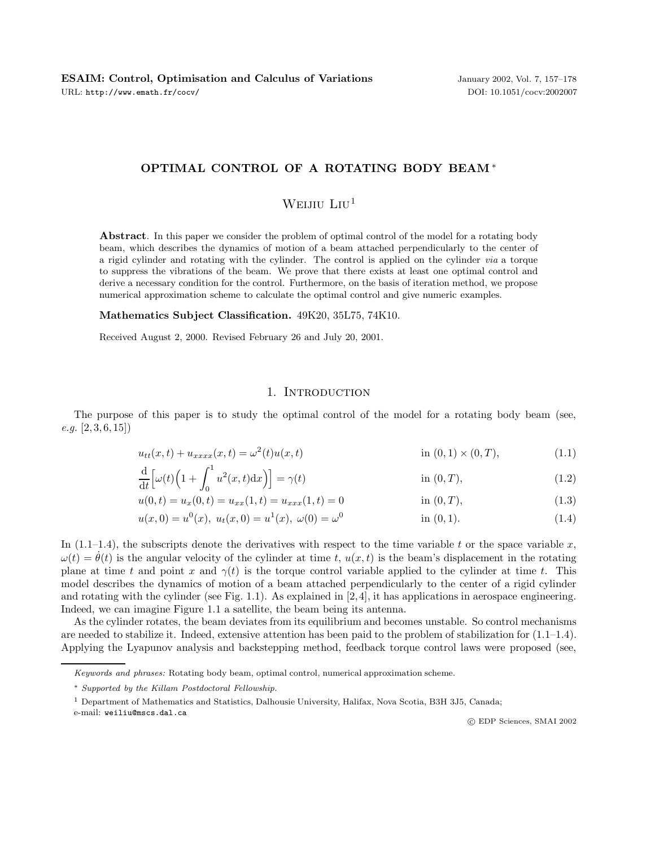### **OPTIMAL CONTROL OF A ROTATING BODY BEAM** ∗

# WEIJIU  $L_1$ U<sup>1</sup>

**Abstract**. In this paper we consider the problem of optimal control of the model for a rotating body beam, which describes the dynamics of motion of a beam attached perpendicularly to the center of a rigid cylinder and rotating with the cylinder. The control is applied on the cylinder via a torque to suppress the vibrations of the beam. We prove that there exists at least one optimal control and derive a necessary condition for the control. Furthermore, on the basis of iteration method, we propose numerical approximation scheme to calculate the optimal control and give numeric examples.

#### **Mathematics Subject Classification.** 49K20, 35L75, 74K10.

Received August 2, 2000. Revised February 26 and July 20, 2001.

#### 1. INTRODUCTION

The purpose of this paper is to study the optimal control of the model for a rotating body beam (see,  $e.g. [2, 3, 6, 15]$ 

$$
u_{tt}(x,t) + u_{xxxx}(x,t) = \omega^2(t)u(x,t)
$$
in (0,1) × (0,T), (1.1)

$$
\frac{\mathrm{d}}{\mathrm{d}t} \Big[ \omega(t) \Big( 1 + \int_0^1 u^2(x, t) \mathrm{d}x \Big) \Big] = \gamma(t) \tag{1.2}
$$

$$
u(0,t) = u_x(0,t) = u_{xx}(1,t) = u_{xxx}(1,t) = 0
$$
 in (0, T), (1.3)

$$
u(x,0) = u^{0}(x), u_{t}(x,0) = u^{1}(x), \omega(0) = \omega^{0}
$$
 in (0,1). (1.4)

In (1.1–1.4), the subscripts denote the derivatives with respect to the time variable t or the space variable  $x$ ,  $\omega(t) = \dot{\theta}(t)$  is the angular velocity of the cylinder at time t,  $u(x, t)$  is the beam's displacement in the rotating plane at time t and point x and  $\gamma(t)$  is the torque control variable applied to the cylinder at time t. This model describes the dynamics of motion of a beam attached perpendicularly to the center of a rigid cylinder and rotating with the cylinder (see Fig. 1.1). As explained in  $[2, 4]$ , it has applications in aerospace engineering. Indeed, we can imagine Figure 1.1 a satellite, the beam being its antenna.

As the cylinder rotates, the beam deviates from its equilibrium and becomes unstable. So control mechanisms are needed to stabilize it. Indeed, extensive attention has been paid to the problem of stabilization for (1.1–1.4). Applying the Lyapunov analysis and backstepping method, feedback torque control laws were proposed (see,

Keywords and phrases: Rotating body beam, optimal control, numerical approximation scheme.

<sup>∗</sup> Supported by the Killam Postdoctoral Fellowship.

<sup>1</sup> Department of Mathematics and Statistics, Dalhousie University, Halifax, Nova Scotia, B3H 3J5, Canada;

e-mail: weiliu@mscs.dal.ca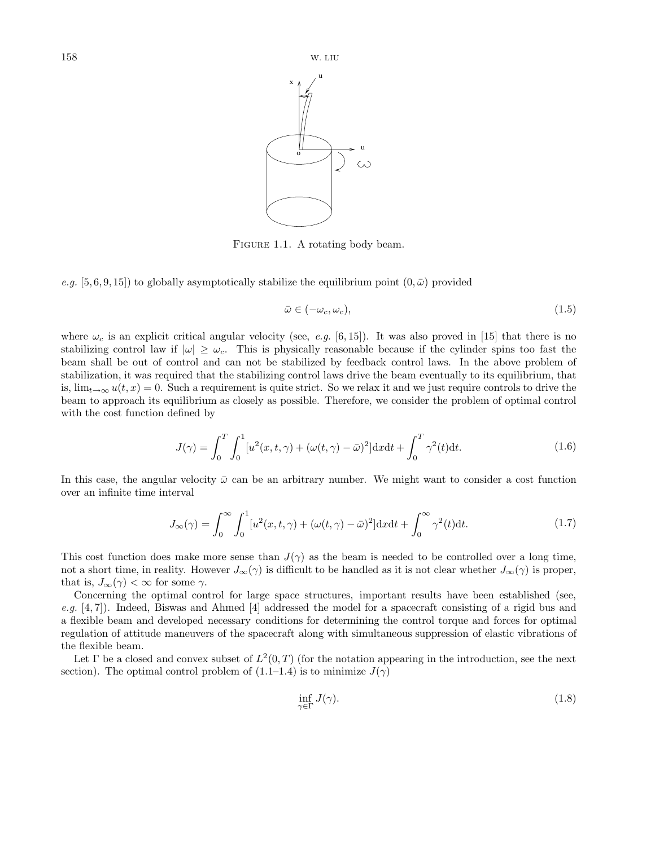

FIGURE 1.1. A rotating body beam.

e.g. [5, 6, 9, 15]) to globally asymptotically stabilize the equilibrium point  $(0, \bar{\omega})$  provided

$$
\bar{\omega} \in (-\omega_c, \omega_c),\tag{1.5}
$$

where  $\omega_c$  is an explicit critical angular velocity (see, e.g. [6, 15]). It was also proved in [15] that there is no stabilizing control law if  $|\omega| \geq \omega_c$ . This is physically reasonable because if the cylinder spins too fast the beam shall be out of control and can not be stabilized by feedback control laws. In the above problem of stabilization, it was required that the stabilizing control laws drive the beam eventually to its equilibrium, that is,  $\lim_{t\to\infty}u(t,x)=0$ . Such a requirement is quite strict. So we relax it and we just require controls to drive the beam to approach its equilibrium as closely as possible. Therefore, we consider the problem of optimal control with the cost function defined by

$$
J(\gamma) = \int_0^T \int_0^1 [u^2(x, t, \gamma) + (\omega(t, \gamma) - \bar{\omega})^2] dx dt + \int_0^T \gamma^2(t) dt.
$$
 (1.6)

In this case, the angular velocity  $\bar{\omega}$  can be an arbitrary number. We might want to consider a cost function over an infinite time interval

$$
J_{\infty}(\gamma) = \int_0^{\infty} \int_0^1 [u^2(x, t, \gamma) + (\omega(t, \gamma) - \bar{\omega})^2] \mathrm{d}x \mathrm{d}t + \int_0^{\infty} \gamma^2(t) \mathrm{d}t. \tag{1.7}
$$

This cost function does make more sense than  $J(\gamma)$  as the beam is needed to be controlled over a long time, not a short time, in reality. However  $J_{\infty}(\gamma)$  is difficult to be handled as it is not clear whether  $J_{\infty}(\gamma)$  is proper, that is,  $J_{\infty}(\gamma) < \infty$  for some  $\gamma$ .

Concerning the optimal control for large space structures, important results have been established (see, e.g. [4, 7]). Indeed, Biswas and Ahmed [4] addressed the model for a spacecraft consisting of a rigid bus and a flexible beam and developed necessary conditions for determining the control torque and forces for optimal regulation of attitude maneuvers of the spacecraft along with simultaneous suppression of elastic vibrations of the flexible beam.

Let  $\Gamma$  be a closed and convex subset of  $L^2(0,T)$  (for the notation appearing in the introduction, see the next section). The optimal control problem of  $(1.1-1.4)$  is to minimize  $J(\gamma)$ 

$$
\inf_{\gamma \in \Gamma} J(\gamma). \tag{1.8}
$$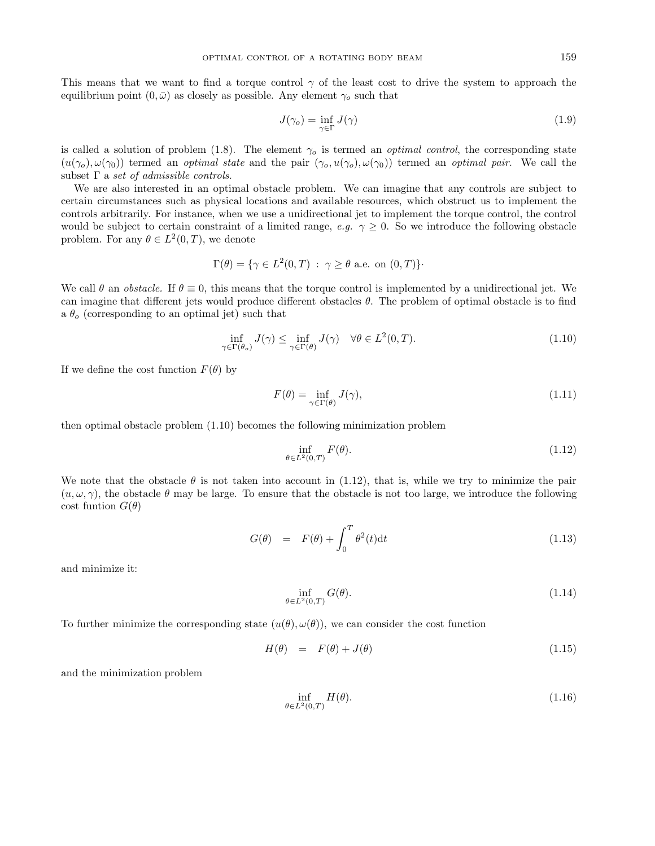This means that we want to find a torque control  $\gamma$  of the least cost to drive the system to approach the equilibrium point  $(0, \bar{\omega})$  as closely as possible. Any element  $\gamma_o$  such that

$$
J(\gamma_o) = \inf_{\gamma \in \Gamma} J(\gamma) \tag{1.9}
$$

is called a solution of problem (1.8). The element  $\gamma_o$  is termed an *optimal control*, the corresponding state  $(u(\gamma_o), \omega(\gamma_0))$  termed an optimal state and the pair  $(\gamma_o, u(\gamma_o), \omega(\gamma_0))$  termed an optimal pair. We call the subset  $\Gamma$  a set of admissible controls.

We are also interested in an optimal obstacle problem. We can imagine that any controls are subject to certain circumstances such as physical locations and available resources, which obstruct us to implement the controls arbitrarily. For instance, when we use a unidirectional jet to implement the torque control, the control would be subject to certain constraint of a limited range, e.g.  $\gamma \geq 0$ . So we introduce the following obstacle problem. For any  $\theta \in L^2(0,T)$ , we denote

$$
\Gamma(\theta) = \{ \gamma \in L^2(0, T) : \gamma \ge \theta \text{ a.e. on } (0, T) \}.
$$

We call  $\theta$  an *obstacle*. If  $\theta \equiv 0$ , this means that the torque control is implemented by a unidirectional jet. We can imagine that different jets would produce different obstacles  $\theta$ . The problem of optimal obstacle is to find a  $\theta_o$  (corresponding to an optimal jet) such that

$$
\inf_{\gamma \in \Gamma(\theta_o)} J(\gamma) \le \inf_{\gamma \in \Gamma(\theta)} J(\gamma) \quad \forall \theta \in L^2(0, T). \tag{1.10}
$$

If we define the cost function  $F(\theta)$  by

$$
F(\theta) = \inf_{\gamma \in \Gamma(\theta)} J(\gamma), \tag{1.11}
$$

then optimal obstacle problem (1.10) becomes the following minimization problem

$$
\inf_{\theta \in L^2(0,T)} F(\theta). \tag{1.12}
$$

We note that the obstacle  $\theta$  is not taken into account in (1.12), that is, while we try to minimize the pair  $(u, \omega, \gamma)$ , the obstacle  $\theta$  may be large. To ensure that the obstacle is not too large, we introduce the following cost funtion  $G(\theta)$ 

$$
G(\theta) = F(\theta) + \int_0^T \theta^2(t) \mathrm{d}t \tag{1.13}
$$

and minimize it:

$$
\inf_{\theta \in L^2(0,T)} G(\theta). \tag{1.14}
$$

To further minimize the corresponding state  $(u(\theta), \omega(\theta))$ , we can consider the cost function

$$
H(\theta) = F(\theta) + J(\theta) \tag{1.15}
$$

and the minimization problem

$$
\inf_{\theta \in L^2(0,T)} H(\theta). \tag{1.16}
$$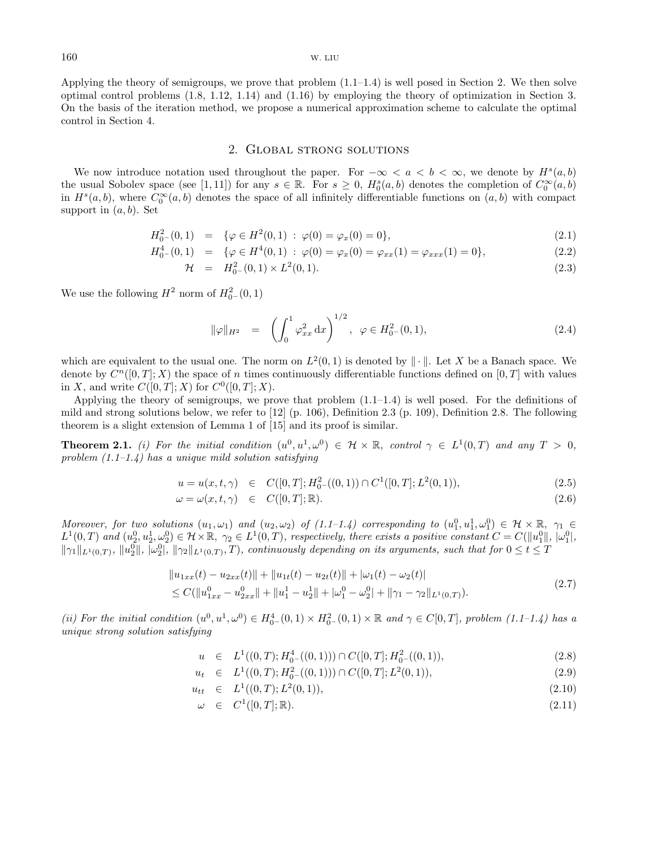Applying the theory of semigroups, we prove that problem  $(1.1-1.4)$  is well posed in Section 2. We then solve optimal control problems (1.8, 1.12, 1.14) and (1.16) by employing the theory of optimization in Section 3. On the basis of the iteration method, we propose a numerical approximation scheme to calculate the optimal control in Section 4.

#### 2. Global strong solutions

We now introduce notation used throughout the paper. For  $-\infty < a < b < \infty$ , we denote by  $H<sup>s</sup>(a, b)$ the usual Sobolev space (see [1,11]) for any  $s \in \mathbb{R}$ . For  $s \geq 0$ ,  $H_0^s(a, b)$  denotes the completion of  $C_0^{\infty}(a, b)$ in  $H^s(a, b)$ , where  $C_0^{\infty}(a, b)$  denotes the space of all infinitely differentiable functions on  $(a, b)$  with compact support in  $(a, b)$ . Set

$$
H_0^2(0,1) = \{ \varphi \in H^2(0,1) : \varphi(0) = \varphi_x(0) = 0 \},
$$
\n(2.1)

$$
H_0^4(0,1) = \{ \varphi \in H^4(0,1) : \varphi(0) = \varphi_x(0) = \varphi_{xx}(1) = \varphi_{xxx}(1) = 0 \},
$$
\n(2.2)

$$
\mathcal{H} = H_0^2(0,1) \times L^2(0,1). \tag{2.3}
$$

We use the following  $H^2$  norm of  $H^2_{0-}(0,1)$ 

$$
\|\varphi\|_{H^2} = \left(\int_0^1 \varphi_{xx}^2 dx\right)^{1/2}, \varphi \in H^2_{0-}(0,1), \tag{2.4}
$$

which are equivalent to the usual one. The norm on  $L^2(0,1)$  is denoted by  $\|\cdot\|$ . Let X be a Banach space. We denote by  $C^n([0,T];X)$  the space of n times continuously differentiable functions defined on  $[0,T]$  with values in X, and write  $C([0, T]; X)$  for  $C^0([0, T]; X)$ .

Applying the theory of semigroups, we prove that problem  $(1.1-1.4)$  is well posed. For the definitions of mild and strong solutions below, we refer to [12] (p. 106), Definition 2.3 (p. 109), Definition 2.8. The following theorem is a slight extension of Lemma 1 of [15] and its proof is similar.

**Theorem 2.1.** (i) For the initial condition  $(u^0, u^1, \omega^0) \in \mathcal{H} \times \mathbb{R}$ , control  $\gamma \in L^1(0,T)$  and any  $T > 0$ , problem  $(1.1-1.4)$  has a unique mild solution satisfying

$$
u = u(x, t, \gamma) \in C([0, T]; H_0^2 - ((0, 1)) \cap C^1([0, T]; L^2(0, 1)), \tag{2.5}
$$

$$
\omega = \omega(x, t, \gamma) \in C([0, T]; \mathbb{R}). \tag{2.6}
$$

Moreover, for two solutions  $(u_1, \omega_1)$  and  $(u_2, \omega_2)$  of  $(1.1-1.4)$  corresponding to  $(u_1^0, u_1^1, \omega_1^0) \in \mathcal{H} \times \mathbb{R}$ ,  $\gamma_1 \in$  $L^1(0,T)$  and  $(u_2^0, u_2^1, \omega_2^0) \in \mathcal{H} \times \mathbb{R}, \ \gamma_2 \in L^1(0,T)$ , respectively, there exists a positive constant  $C = C(||u_1^0||, |\omega_1^0|, |\omega_2^0|)$  $\|\gamma_1\|_{L^1(0,T)}$ ,  $\|u_2^0\|$ ,  $\|\omega_2^0\|$ ,  $\|\gamma_2\|_{L^1(0,T)}$ ,  $T$ ), continuously depending on its arguments, such that for  $0 \le t \le T$ 

$$
\|u_{1xx}(t) - u_{2xx}(t)\| + \|u_{1t}(t) - u_{2t}(t)\| + |\omega_1(t) - \omega_2(t)|
$$
  
\n
$$
\leq C(\|u_{1xx}^0 - u_{2xx}^0\| + \|u_1^1 - u_2^1\| + |\omega_1^0 - \omega_2^0| + \|\gamma_1 - \gamma_2\|_{L^1(0,T)}).
$$
\n(2.7)

(ii) For the initial condition  $(u^0, u^1, \omega^0) \in H^4_{0-}(0, 1) \times H^2_{0-}(0, 1) \times \mathbb{R}$  and  $\gamma \in C[0, T]$ , problem  $(1.1-1.4)$  has a unique strong solution satisfying

$$
u \in L^1((0,T); H^4_{0-}((0,1))) \cap C([0,T]; H^2_{0-}((0,1)), \tag{2.8}
$$

$$
u_t \in L^1((0,T); H^2_{0-}((0,1))) \cap C([0,T]; L^2(0,1)), \tag{2.9}
$$

$$
u_{tt} \in L^1((0,T); L^2(0,1)), \tag{2.10}
$$

$$
\omega \in C^1([0,T];\mathbb{R}).\tag{2.11}
$$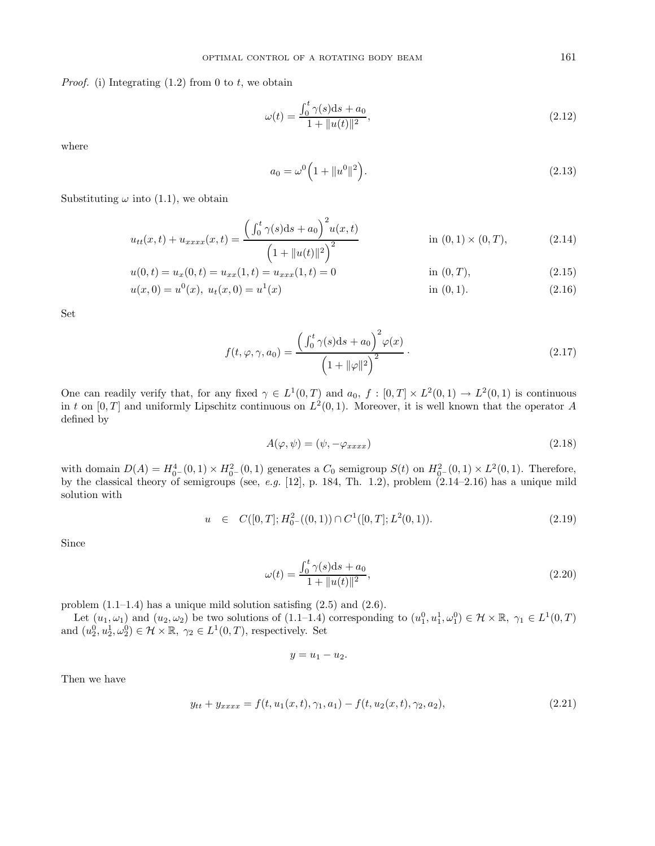*Proof.* (i) Integrating  $(1.2)$  from 0 to t, we obtain

$$
\omega(t) = \frac{\int_0^t \gamma(s)ds + a_0}{1 + \|u(t)\|^2},\tag{2.12}
$$

where

$$
a_0 = \omega^0 \left( 1 + \|u^0\|^2 \right). \tag{2.13}
$$

Substituting  $\omega$  into (1.1), we obtain

$$
u_{tt}(x,t) + u_{xxxx}(x,t) = \frac{\left(\int_0^t \gamma(s)ds + a_0\right)^2 u(x,t)}{\left(1 + \|u(t)\|^2\right)^2} \quad \text{in (0,1) \times (0,T),} \tag{2.14}
$$

$$
u(0,t) = u_x(0,t) = u_{xx}(1,t) = u_{xxx}(1,t) = 0
$$
 in (0, T), (2.15)  

$$
u(x,0) = u(x,0) = u(x,0) = u(x)
$$
 in (0, 1). (2.16)

$$
u(x,0) = u^{0}(x), u_{t}(x,0) = u^{1}(x)
$$
in (0,1). (2.16)

Set

$$
f(t, \varphi, \gamma, a_0) = \frac{\left(\int_0^t \gamma(s)ds + a_0\right)^2 \varphi(x)}{\left(1 + \|\varphi\|^2\right)^2}.
$$
\n(2.17)

One can readily verify that, for any fixed  $\gamma \in L^1(0,T)$  and  $a_0, f : [0,T] \times L^2(0,1) \to L^2(0,1)$  is continuous in t on [0, T] and uniformly Lipschitz continuous on  $L^2(0, 1)$ . Moreover, it is well known that the operator A defined by

$$
A(\varphi, \psi) = (\psi, -\varphi_{xxxx}) \tag{2.18}
$$

with domain  $D(A) = H_{0}^{4}(0,1) \times H_{0}^{2}(0,1)$  generates a  $C_0$  semigroup  $S(t)$  on  $H_{0}^{2}(0,1) \times L^{2}(0,1)$ . Therefore, by the classical theory of semigroups (see, e.g.  $[12]$ , p. 184, Th. 1.2), problem  $(2.14-2.16)$  has a unique mild solution with

$$
u \in C([0, T]; H_0^2-((0, 1)) \cap C^1([0, T]; L^2(0, 1)). \tag{2.19}
$$

Since

$$
\omega(t) = \frac{\int_0^t \gamma(s)ds + a_0}{1 + \|u(t)\|^2},\tag{2.20}
$$

problem (1.1–1.4) has a unique mild solution satisfing (2.5) and (2.6).

Let  $(u_1, \omega_1)$  and  $(u_2, \omega_2)$  be two solutions of  $(1.1-1.4)$  corresponding to  $(u_1^0, u_1^1, \omega_1^0) \in \mathcal{H} \times \mathbb{R}, \gamma_1 \in L^1(0, T)$ and  $(u_2^0, u_2^1, \omega_2^0) \in \mathcal{H} \times \mathbb{R}, \gamma_2 \in L^1(0, T)$ , respectively. Set

 $y = u_1 - u_2.$ 

Then we have

$$
y_{tt} + y_{xxxx} = f(t, u_1(x, t), \gamma_1, a_1) - f(t, u_2(x, t), \gamma_2, a_2), \qquad (2.21)
$$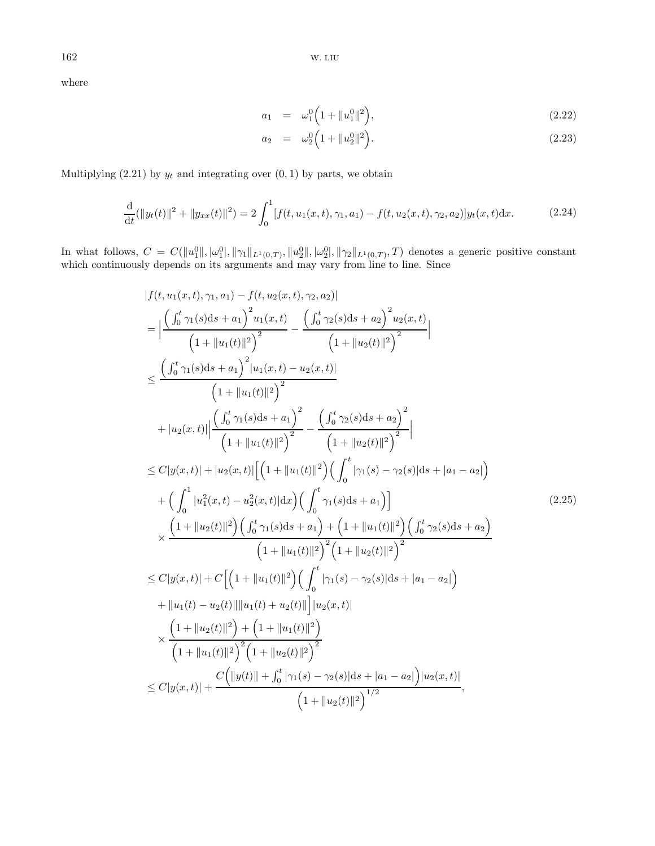where

$$
a_1 = \omega_1^0 \left( 1 + \|u_1^0\|^2 \right), \tag{2.22}
$$

$$
a_2 = \omega_2^0 \left( 1 + \|u_2\|^2 \right). \tag{2.23}
$$

Multiplying (2.21) by  $y_t$  and integrating over  $(0, 1)$  by parts, we obtain

$$
\frac{\mathrm{d}}{\mathrm{d}t}(\|y_t(t)\|^2 + \|y_{xx}(t)\|^2) = 2\int_0^1 [f(t, u_1(x, t), \gamma_1, a_1) - f(t, u_2(x, t), \gamma_2, a_2)]y_t(x, t)\mathrm{d}x. \tag{2.24}
$$

In what follows,  $C = C(||u_1^0||, |\omega_1^0|, ||\gamma_1||_{L^1(0,T)}, ||u_2^0||, |\omega_2^0|, ||\gamma_2||_{L^1(0,T)}, T)$  denotes a generic positive constant which continuously depends on its arguments and may vary from line to line. Since

$$
|f(t, u_1(x, t), \gamma_1, a_1) - f(t, u_2(x, t), \gamma_2, a_2)|
$$
\n
$$
= \Big| \frac{\Big( \int_0^t \gamma_1(s)ds + a_1 \Big)^2 u_1(x, t)}{\Big( 1 + ||u_1(t)||^2 \Big)^2} - \frac{\Big( \int_0^t \gamma_2(s)ds + a_2 \Big)^2 u_2(x, t)}{\Big( 1 + ||u_2(t)||^2 \Big)^2} \Big|
$$
\n
$$
\leq \frac{\Big( \int_0^t \gamma_1(s)ds + a_1 \Big)^2 |u_1(x, t) - u_2(x, t)|}{\Big( 1 + ||u_1(t)||^2 \Big)^2} + |u_2(x, t)| \Big| \frac{\Big( \int_0^t \gamma_1(s)ds + a_1 \Big)^2}{\Big( 1 + ||u_2(t)||^2 \Big)^2} - \frac{\Big( \int_0^t \gamma_2(s)ds + a_2 \Big)^2}{\Big( 1 + ||u_2(t)||^2 \Big)^2} \Big|
$$
\n
$$
\leq C|y(x, t)| + |u_2(x, t)| \Big[ \Big( 1 + ||u_1(t)||^2 \Big) \Big( \int_0^t |\gamma_1(s) - \gamma_2(s)|ds + |a_1 - a_2| \Big) \Big|
$$
\n
$$
+ \Big( \int_0^1 |u_1^2(x, t) - u_2^2(x, t)|dx \Big) \Big( \int_0^t \gamma_1(s)ds + a_1 \Big) \Big|
$$
\n
$$
\times \frac{\Big( 1 + ||u_2(t)||^2 \Big) \Big( \int_0^t \gamma_1(s)ds + a_1 \Big) + \Big( 1 + ||u_1(t)||^2 \Big) \Big( \int_0^t \gamma_2(s)ds + a_2 \Big)}{\Big( 1 + ||u_1(t)||^2 \Big)^2 \Big( 1 + ||u_2(t)||^2 \Big)^2}
$$
\n
$$
\leq C|y(x, t)| + C \Big[ \Big( 1 + ||u_1(t)||^2 \Big) \Big( \int_0^t |\gamma_1(s) - \gamma_2(s)|ds + |a_1 - a_2| \Big) \Big|
$$
\n
$$
+ ||u_1(t) - u_2(t)|| ||u_1(t) + u_2(t)|| \Big| u_2(x, t) \Big|
$$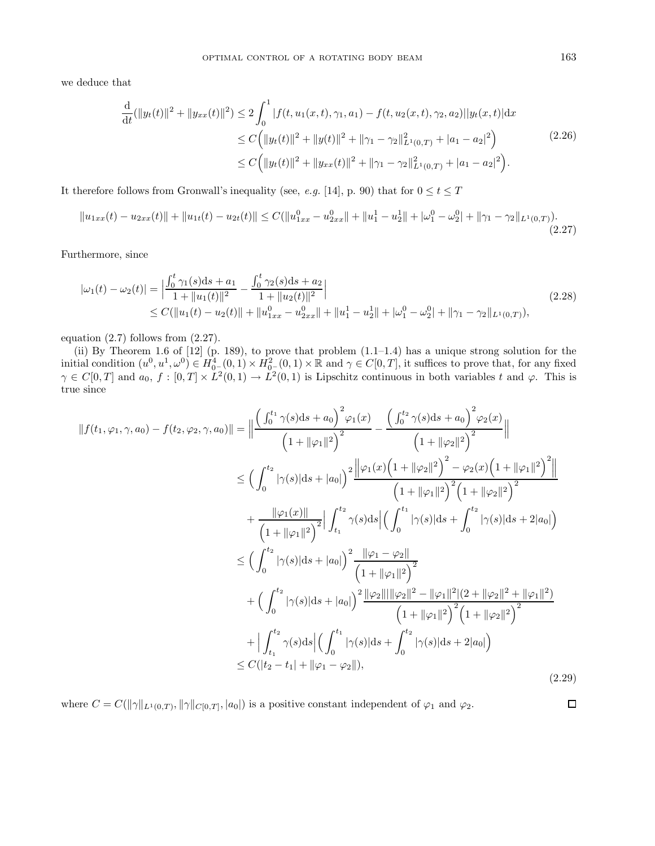we deduce that

$$
\frac{d}{dt}(\|y_t(t)\|^2 + \|y_{xx}(t)\|^2) \le 2\int_0^1 |f(t, u_1(x, t), \gamma_1, a_1) - f(t, u_2(x, t), \gamma_2, a_2)||y_t(x, t)|dx
$$
\n
$$
\le C\Big(\|y_t(t)\|^2 + \|y(t)\|^2 + \|\gamma_1 - \gamma_2\|_{L^1(0, T)}^2 + |a_1 - a_2|^2\Big)
$$
\n
$$
\le C\Big(\|y_t(t)\|^2 + \|y_{xx}(t)\|^2 + \|\gamma_1 - \gamma_2\|_{L^1(0, T)}^2 + |a_1 - a_2|^2\Big).
$$
\n(2.26)

It therefore follows from Gronwall's inequality (see, e.g. [14], p. 90) that for  $0 \le t \le T$ 

$$
||u_{1xx}(t) - u_{2xx}(t)|| + ||u_{1t}(t) - u_{2t}(t)|| \le C(||u_{1xx}^0 - u_{2xx}^0|| + ||u_1^1 - u_2^1|| + |\omega_1^0 - \omega_2^0| + ||\gamma_1 - \gamma_2||_{L^1(0,T)}).
$$
\n(2.27)

Furthermore, since

$$
|\omega_1(t) - \omega_2(t)| = \left| \frac{\int_0^t \gamma_1(s)ds + a_1}{1 + \|u_1(t)\|^2} - \frac{\int_0^t \gamma_2(s)ds + a_2}{1 + \|u_2(t)\|^2} \right|
$$
  
\n
$$
\leq C(\|u_1(t) - u_2(t)\| + \|u_{1xx}^0 - u_{2xx}^0\| + \|u_1^1 - u_2^1\| + |\omega_1^0 - u_2^0| + \|\gamma_1 - \gamma_2\|_{L^1(0,T)}),
$$
\n(2.28)

equation (2.7) follows from (2.27).

(ii) By Theorem 1.6 of  $[12]$  (p. 189), to prove that problem  $(1.1-1.4)$  has a unique strong solution for the initial condition  $(u^0, u^1, \omega^0) \in H^4_{0^-}(0, 1) \times H^2_{0^-}(0, 1) \times \mathbb{R}$  and  $\gamma \in C[0, T]$ , it suffices to prove that, for any fixed  $\gamma \in C[0,T]$  and  $a_0, f : [0,T] \times L^2(0,1) \to L^2(0,1)$  is Lipschitz continuous in both variables t and  $\varphi$ . This is true since

$$
||f(t_1, \varphi_1, \gamma, a_0) - f(t_2, \varphi_2, \gamma, a_0)|| = \left\| \frac{\left(\int_0^{t_1} \gamma(s)ds + a_0\right)^2 \varphi_1(x)}{\left(1 + ||\varphi_1||^2\right)^2} - \frac{\left(\int_0^{t_2} \gamma(s)ds + a_0\right)^2 \varphi_2(x)}{\left(1 + ||\varphi_2||^2\right)^2} \right\|
$$
  
\n
$$
\leq \left(\int_0^{t_2} |\gamma(s)|ds + |a_0|\right)^2 \frac{\left\| \varphi_1(x)\left(1 + ||\varphi_2||^2\right)^2 - \varphi_2(x)\left(1 + ||\varphi_1||^2\right)^2 \right\|}{\left(1 + ||\varphi_1||^2\right)^2 \left(1 + ||\varphi_2||^2\right)^2}
$$
  
\n
$$
+ \frac{\left\| \varphi_1(x) \right\|}{\left(1 + ||\varphi_1||^2\right)^2} \right\| \int_{t_1}^{t_2} \gamma(s)ds \left| \left(\int_0^{t_1} |\gamma(s)|ds + \int_0^{t_2} |\gamma(s)|ds + 2|a_0|\right)
$$
  
\n
$$
\leq \left(\int_0^{t_2} |\gamma(s)|ds + |a_0|\right)^2 \frac{\left\| \varphi_1 - \varphi_2 \right\|}{\left(1 + ||\varphi_1||^2\right)^2}
$$
  
\n
$$
+ \left(\int_0^{t_2} |\gamma(s)|ds + |a_0|\right)^2 \frac{\left\| \varphi_2 \right\| \left\| \varphi_2 \right\|^2 - \left\| \varphi_1 \right\|^2 \left\| (2 + ||\varphi_2||^2 + ||\varphi_1||^2)}{\left(1 + ||\varphi_1||^2\right)^2 \left(1 + ||\varphi_2||^2\right)^2}
$$
  
\n
$$
+ \left| \int_{t_1}^{t_2} \gamma(s)ds \right| \left(\int_0^{t_1} |\gamma(s)|ds + \int_0^{t_2} |\gamma(s)|ds + 2|a_0|\right)
$$
  
\n
$$
\leq C(|t_2 - t_1| + ||\varphi_1 - \varphi_2||),
$$
\n(2.29)

where  $C = C(||\gamma||_{L^1(0,T)}, ||\gamma||_{C[0,T]}, |a_0|)$  is a positive constant independent of  $\varphi_1$  and  $\varphi_2$ .

 $\Box$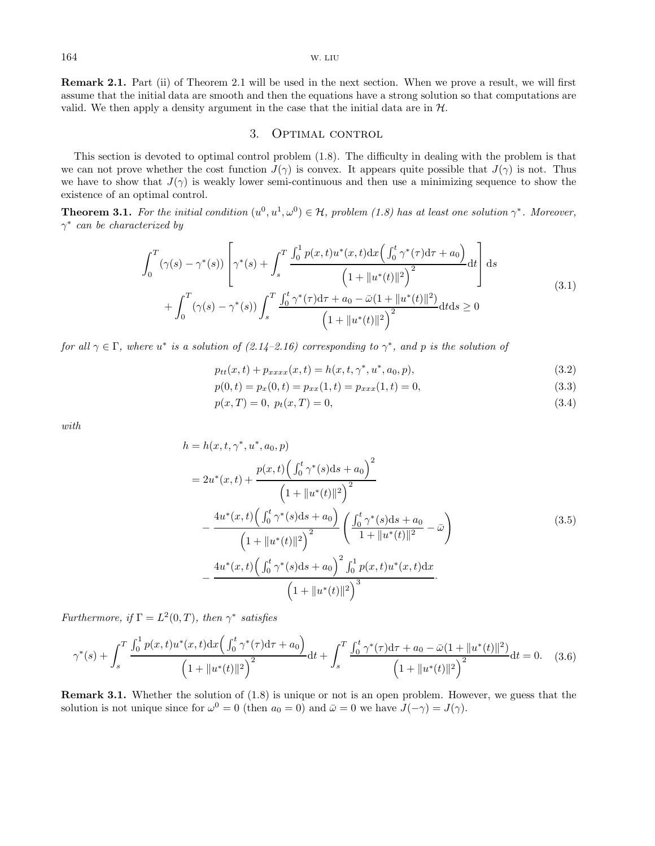**Remark 2.1.** Part (ii) of Theorem 2.1 will be used in the next section. When we prove a result, we will first assume that the initial data are smooth and then the equations have a strong solution so that computations are valid. We then apply a density argument in the case that the initial data are in  $H$ .

### 3. OPTIMAL CONTROL

This section is devoted to optimal control problem (1.8). The difficulty in dealing with the problem is that we can not prove whether the cost function  $J(\gamma)$  is convex. It appears quite possible that  $J(\gamma)$  is not. Thus we have to show that  $J(\gamma)$  is weakly lower semi-continuous and then use a minimizing sequence to show the existence of an optimal control.

**Theorem 3.1.** For the initial condition  $(u^0, u^1, \omega^0) \in \mathcal{H}$ , problem (1.8) has at least one solution  $\gamma^*$ . Moreover,  $\gamma^*$  can be characterized by

$$
\int_{0}^{T} (\gamma(s) - \gamma^{*}(s)) \left[ \gamma^{*}(s) + \int_{s}^{T} \frac{\int_{0}^{1} p(x,t)u^{*}(x,t)dx \left( \int_{0}^{t} \gamma^{*}(\tau)d\tau + a_{0} \right)}{\left( 1 + \|u^{*}(t)\|^{2} \right)^{2}} dt \right] ds
$$
\n
$$
+ \int_{0}^{T} (\gamma(s) - \gamma^{*}(s)) \int_{s}^{T} \frac{\int_{0}^{t} \gamma^{*}(\tau)d\tau + a_{0} - \bar{\omega}(1 + \|u^{*}(t)\|^{2})}{\left( 1 + \|u^{*}(t)\|^{2} \right)^{2}} dt ds \ge 0
$$
\n(3.1)

for all  $\gamma \in \Gamma$ , where  $u^*$  is a solution of  $(2.14-2.16)$  corresponding to  $\gamma^*$ , and p is the solution of

$$
p_{tt}(x,t) + p_{xxxx}(x,t) = h(x,t,\gamma^*,u^*,a_0,p),
$$
\n(3.2)

$$
p(0,t) = p_x(0,t) = p_{xx}(1,t) = p_{xxx}(1,t) = 0,
$$
\n(3.3)

$$
p(x,T) = 0, \ p_t(x,T) = 0,\tag{3.4}
$$

with

$$
h = h(x, t, \gamma^*, u^*, a_0, p)
$$
  
=  $2u^*(x, t) + \frac{p(x, t) \left( \int_0^t \gamma^*(s) ds + a_0 \right)^2}{\left( 1 + \|u^*(t)\|^2 \right)^2}$   

$$
- \frac{4u^*(x, t) \left( \int_0^t \gamma^*(s) ds + a_0 \right)}{\left( 1 + \|u^*(t)\|^2 \right)^2} \left( \frac{\int_0^t \gamma^*(s) ds + a_0}{1 + \|u^*(t)\|^2} - \bar{\omega} \right)
$$
  

$$
- \frac{4u^*(x, t) \left( \int_0^t \gamma^*(s) ds + a_0 \right)^2 \int_0^1 p(x, t) u^*(x, t) dx}{\left( 1 + \|u^*(t)\|^2 \right)^3}.
$$
 (3.5)

Furthermore, if  $\Gamma = L^2(0,T)$ , then  $\gamma^*$  satisfies

$$
\gamma^*(s) + \int_s^T \frac{\int_0^1 p(x,t)u^*(x,t)dx\left(\int_0^t \gamma^*(\tau)d\tau + a_0\right)}{\left(1 + \|u^*(t)\|^2\right)^2}dt + \int_s^T \frac{\int_0^t \gamma^*(\tau)d\tau + a_0 - \bar{\omega}(1 + \|u^*(t)\|^2)}{\left(1 + \|u^*(t)\|^2\right)^2}dt = 0. \quad (3.6)
$$

**Remark 3.1.** Whether the solution of  $(1.8)$  is unique or not is an open problem. However, we guess that the solution is not unique since for  $\omega^0 = 0$  (then  $a_0 = 0$ ) and  $\bar{\omega} = 0$  we have  $J(-\gamma) = J(\gamma)$ .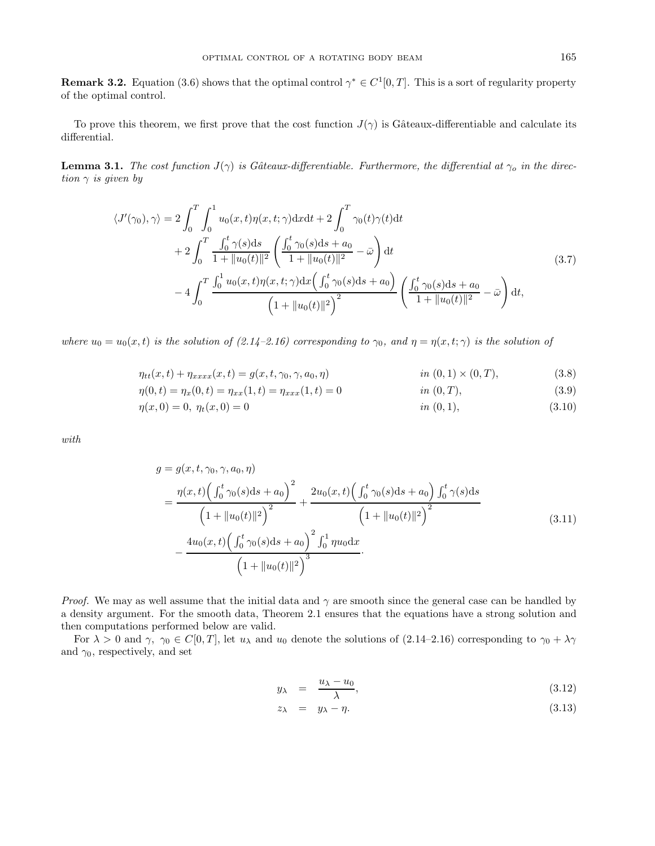**Remark 3.2.** Equation (3.6) shows that the optimal control  $\gamma^* \in C^1[0,T]$ . This is a sort of regularity property of the optimal control.

To prove this theorem, we first prove that the cost function  $J(\gamma)$  is Gâteaux-differentiable and calculate its differential.

**Lemma 3.1.** The cost function  $J(\gamma)$  is Gâteaux-differentiable. Furthermore, the differential at  $\gamma_o$  in the direction  $\gamma$  is given by

$$
\langle J'(\gamma_0), \gamma \rangle = 2 \int_0^T \int_0^1 u_0(x, t) \eta(x, t; \gamma) \mathrm{d}x \mathrm{d}t + 2 \int_0^T \gamma_0(t) \gamma(t) \mathrm{d}t + 2 \int_0^T \frac{\int_0^t \gamma(s) \mathrm{d}s}{1 + ||u_0(t)||^2} \left( \frac{\int_0^t \gamma_0(s) \mathrm{d}s + a_0}{1 + ||u_0(t)||^2} - \bar{\omega} \right) \mathrm{d}t - 4 \int_0^T \frac{\int_0^1 u_0(x, t) \eta(x, t; \gamma) \mathrm{d}x \left( \int_0^t \gamma_0(s) \mathrm{d}s + a_0 \right)}{\left( 1 + ||u_0(t)||^2 \right)^2} \left( \frac{\int_0^t \gamma_0(s) \mathrm{d}s + a_0}{1 + ||u_0(t)||^2} - \bar{\omega} \right) \mathrm{d}t,
$$
\n(3.7)

where  $u_0 = u_0(x, t)$  is the solution of (2.14–2.16) corresponding to  $\gamma_0$ , and  $\eta = \eta(x, t; \gamma)$  is the solution of

$$
\eta_{tt}(x,t) + \eta_{xxxx}(x,t) = g(x,t,\gamma_0,\gamma,a_0,\eta) \qquad \text{in } (0,1) \times (0,T), \tag{3.8}
$$

$$
\eta(0,t) = \eta_x(0,t) = \eta_{xx}(1,t) = \eta_{xxx}(1,t) = 0 \qquad \text{in } (0,T),
$$
\n(3.9)

$$
\eta(x,0) = 0, \ \eta_t(x,0) = 0 \qquad \qquad \text{in } (0,1), \tag{3.10}
$$

with

$$
g = g(x, t, \gamma_0, \gamma, a_0, \eta)
$$
  
= 
$$
\frac{\eta(x, t) \left( \int_0^t \gamma_0(s) ds + a_0 \right)^2}{\left( 1 + \|u_0(t)\|^2 \right)^2} + \frac{2u_0(x, t) \left( \int_0^t \gamma_0(s) ds + a_0 \right) \int_0^t \gamma(s) ds}{\left( 1 + \|u_0(t)\|^2 \right)^2}
$$
  
- 
$$
\frac{4u_0(x, t) \left( \int_0^t \gamma_0(s) ds + a_0 \right)^2 \int_0^1 \eta u_0 dx}{\left( 1 + \|u_0(t)\|^2 \right)^3}.
$$
 (3.11)

*Proof.* We may as well assume that the initial data and  $\gamma$  are smooth since the general case can be handled by a density argument. For the smooth data, Theorem 2.1 ensures that the equations have a strong solution and then computations performed below are valid.

For  $\lambda > 0$  and  $\gamma$ ,  $\gamma_0 \in C[0,T]$ , let  $u_\lambda$  and  $u_0$  denote the solutions of (2.14–2.16) corresponding to  $\gamma_0 + \lambda \gamma$ and  $\gamma_0$ , respectively, and set

$$
y_{\lambda} = \frac{u_{\lambda} - u_0}{\lambda}, \tag{3.12}
$$

$$
z_{\lambda} = y_{\lambda} - \eta. \tag{3.13}
$$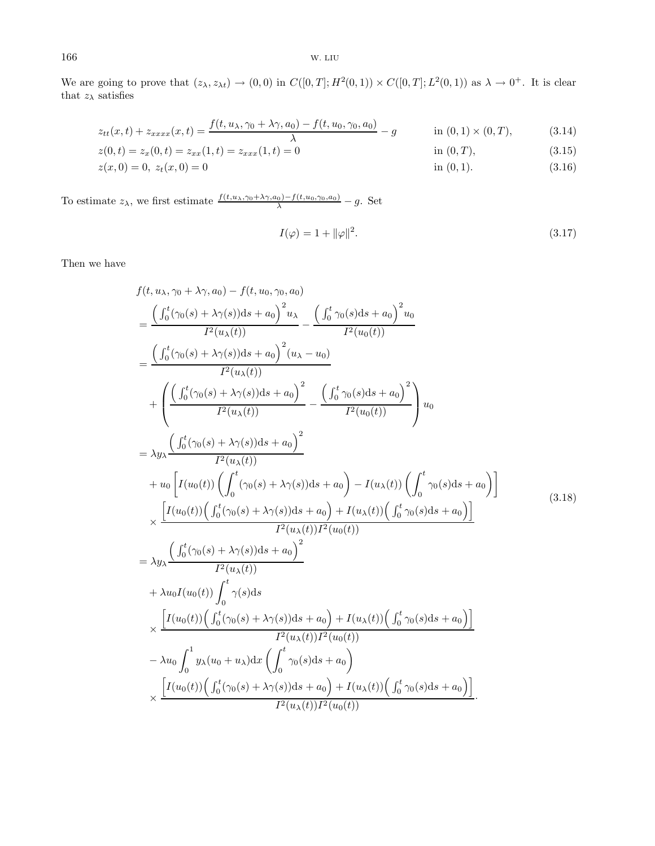We are going to prove that  $(z_\lambda, z_{\lambda t}) \to (0, 0)$  in  $C([0, T]; H^2(0, 1)) \times C([0, T]; L^2(0, 1))$  as  $\lambda \to 0^+$ . It is clear that  $z_{\lambda}$  satisfies

$$
z_{tt}(x,t) + z_{xxxx}(x,t) = \frac{f(t, u_\lambda, \gamma_0 + \lambda \gamma, a_0) - f(t, u_0, \gamma_0, a_0)}{\lambda} - g \quad \text{in (0,1)} \times (0, T), \tag{3.14}
$$

$$
z(0,t) = z_x(0,t) = z_{xx}(1,t) = z_{xxx}(1,t) = 0
$$
 in (0, T), (3.15)

$$
z(x,0) = 0, \ z_t(x,0) = 0 \tag{3.16}
$$

To estimate  $z_{\lambda}$ , we first estimate  $\frac{f(t, u_{\lambda}, \gamma_0 + \lambda \gamma, a_0) - f(t, u_0, \gamma_0, a_0)}{\lambda} - g$ . Set

$$
I(\varphi) = 1 + \|\varphi\|^2. \tag{3.17}
$$

Then we have

$$
f(t, u_{\lambda}, \gamma_{0} + \lambda \gamma, a_{0}) - f(t, u_{0}, \gamma_{0}, a_{0})
$$
\n
$$
= \frac{\left(\int_{0}^{t} (\gamma_{0}(s) + \lambda \gamma(s))ds + a_{0}\right)^{2} u_{\lambda}}{I^{2}(u_{\lambda}(t))} - \frac{\left(\int_{0}^{t} \gamma_{0}(s)ds + a_{0}\right)^{2} u_{0}}{I^{2}(u_{0}(t))}
$$
\n
$$
= \frac{\left(\int_{0}^{t} (\gamma_{0}(s) + \lambda \gamma(s))ds + a_{0}\right)^{2} (u_{\lambda} - u_{0})}{I^{2}(u_{\lambda}(t))} - \frac{\left(\int_{0}^{t} \gamma_{0}(s)ds + a_{0}\right)^{2}}{I^{2}(u_{0}(t))}\right) u_{0}
$$
\n
$$
= \lambda y_{\lambda} \frac{\left(\int_{0}^{t} (\gamma_{0}(s) + \lambda \gamma(s))ds + a_{0}\right)^{2}}{I^{2}(u_{\lambda}(t))}
$$
\n
$$
+ u_{0} \left[I(u_{0}(t)) \left(\int_{0}^{t} (\gamma_{0}(s) + \lambda \gamma(s))ds + a_{0}\right) - I(u_{\lambda}(t)) \left(\int_{0}^{t} \gamma_{0}(s)ds + a_{0}\right)\right]
$$
\n
$$
\times \frac{\left[I(u_{0}(t)) \left(\int_{0}^{t} (\gamma_{0}(s) + \lambda \gamma(s))ds + a_{0}\right) + I(u_{\lambda}(t)) \left(\int_{0}^{t} \gamma_{0}(s)ds + a_{0}\right)\right]}{I^{2}(u_{\lambda}(t))I^{2}(u_{0}(t))}
$$
\n
$$
= \lambda y_{\lambda} \frac{\left(\int_{0}^{t} (\gamma_{0}(s) + \lambda \gamma(s))ds + a_{0}\right)^{2}}{I^{2}(u_{\lambda}(t))I^{2}(u_{0}(t))}
$$
\n
$$
+ \lambda u_{0} I(u_{0}(t)) \int_{0}^{t} \gamma(s)ds
$$
\n
$$
\times \frac{\left[I(u_{0}(t)) \left(\int_{0}^{t} (\gamma_{0}(s) + \lambda \gamma(s))ds + a_{0}\right) + I(u_{\lambda}(t)) \left(\int_{0}^{t} \gamma_{0}(s)ds + a_{0}\right)\right]}{I^{2}(u_{\lambda}(t))I
$$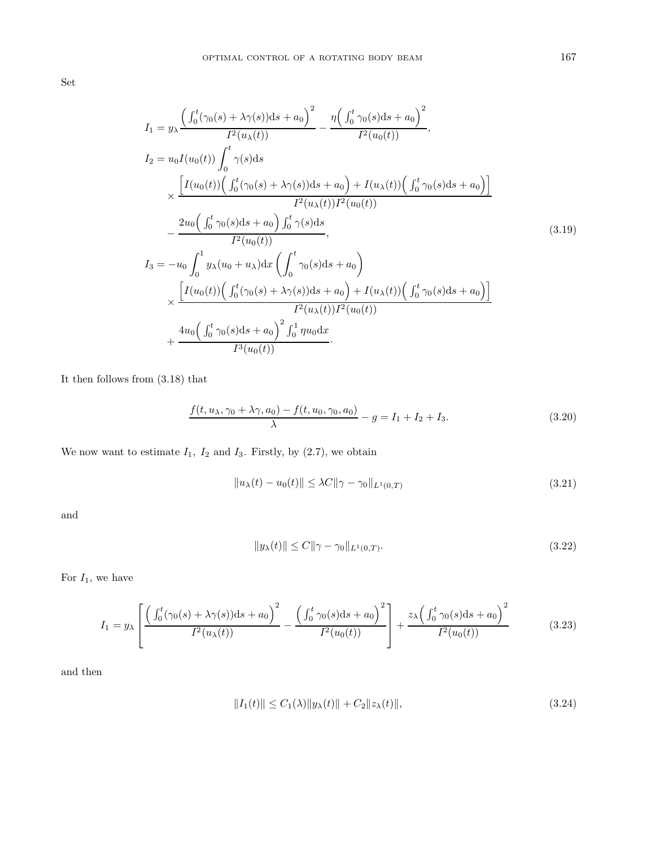Set

$$
I_{1} = y_{\lambda} \frac{\left(\int_{0}^{t} (\gamma_{0}(s) + \lambda \gamma(s))ds + a_{0}\right)^{2}}{I^{2}(u_{\lambda}(t))} - \frac{\eta \left(\int_{0}^{t} \gamma_{0}(s)ds + a_{0}\right)^{2}}{I^{2}(u_{0}(t))},
$$
\n
$$
I_{2} = u_{0} I(u_{0}(t)) \int_{0}^{t} \gamma(s)ds
$$
\n
$$
\times \frac{\left[I(u_{0}(t)) \left(\int_{0}^{t} (\gamma_{0}(s) + \lambda \gamma(s))ds + a_{0}\right) + I(u_{\lambda}(t)) \left(\int_{0}^{t} \gamma_{0}(s)ds + a_{0}\right)\right]}{I^{2}(u_{\lambda}(t))I^{2}(u_{0}(t))}
$$
\n
$$
- \frac{2u_{0} \left(\int_{0}^{t} \gamma_{0}(s)ds + a_{0}\right) \int_{0}^{t} \gamma(s)ds}{I^{2}(u_{0}(t))},
$$
\n
$$
I_{3} = -u_{0} \int_{0}^{1} y_{\lambda}(u_{0} + u_{\lambda})dx \left(\int_{0}^{t} \gamma_{0}(s)ds + a_{0}\right)
$$
\n
$$
\times \frac{\left[I(u_{0}(t)) \left(\int_{0}^{t} (\gamma_{0}(s) + \lambda \gamma(s))ds + a_{0}\right) + I(u_{\lambda}(t)) \left(\int_{0}^{t} \gamma_{0}(s)ds + a_{0}\right)\right]}{I^{2}(u_{\lambda}(t))I^{2}(u_{0}(t))}
$$
\n
$$
+ \frac{4u_{0} \left(\int_{0}^{t} \gamma_{0}(s)ds + a_{0}\right)^{2} \int_{0}^{1} \eta u_{0} dx}{I^{3}(u_{0}(t))}.
$$
\n(A)

It then follows from (3.18) that

$$
\frac{f(t, u_{\lambda}, \gamma_0 + \lambda \gamma, a_0) - f(t, u_0, \gamma_0, a_0)}{\lambda} - g = I_1 + I_2 + I_3.
$$
\n(3.20)

We now want to estimate  $I_1$ ,  $I_2$  and  $I_3$ . Firstly, by (2.7), we obtain

$$
||u_{\lambda}(t) - u_0(t)|| \leq \lambda C ||\gamma - \gamma_0||_{L^1(0,T)} \tag{3.21}
$$

and

$$
||y_{\lambda}(t)|| \le C||\gamma - \gamma_0||_{L^1(0,T)}.
$$
\n(3.22)

For  $I_1$ , we have

$$
I_1 = y_\lambda \left[ \frac{\left(\int_0^t (\gamma_0(s) + \lambda \gamma(s))ds + a_0\right)^2}{I^2(u_\lambda(t))} - \frac{\left(\int_0^t \gamma_0(s)ds + a_0\right)^2}{I^2(u_0(t))} \right] + \frac{z_\lambda \left(\int_0^t \gamma_0(s)ds + a_0\right)^2}{I^2(u_0(t))}
$$
(3.23)

and then

$$
||I_1(t)|| \le C_1(\lambda) ||y_\lambda(t)|| + C_2 ||z_\lambda(t)||,
$$
\n(3.24)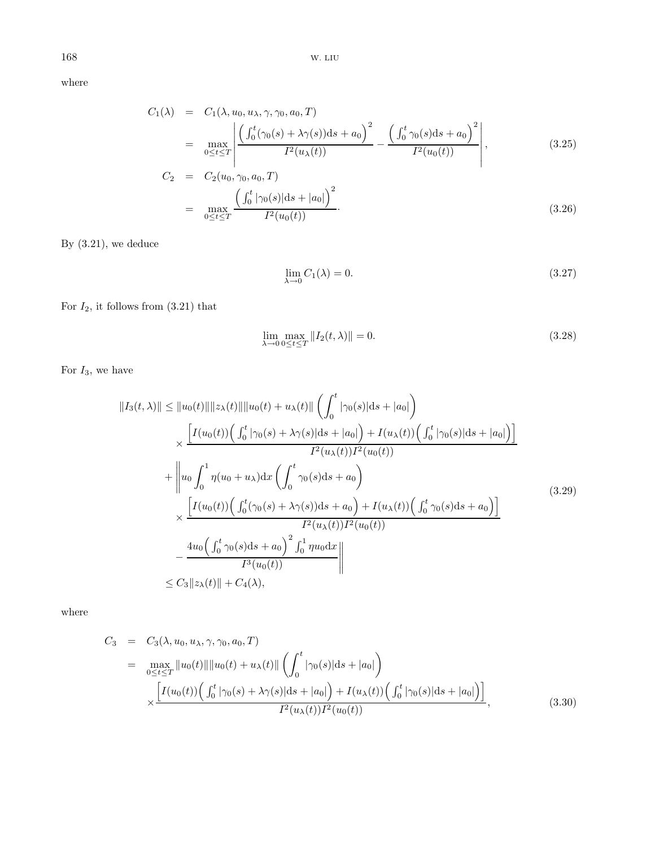where

$$
C_1(\lambda) = C_1(\lambda, u_0, u_\lambda, \gamma, \gamma_0, a_0, T)
$$
  
= 
$$
\max_{0 \le t \le T} \left| \frac{\left( \int_0^t (\gamma_0(s) + \lambda \gamma(s)) ds + a_0 \right)^2}{I^2(u_\lambda(t))} - \frac{\left( \int_0^t \gamma_0(s) ds + a_0 \right)^2}{I^2(u_0(t))} \right|,
$$
 (3.25)

$$
C_2 = C_2(u_0, \gamma_0, a_0, T)
$$
  
= 
$$
\max_{0 \le t \le T} \frac{\left(\int_0^t |\gamma_0(s)| ds + |a_0| \right)^2}{I^2(u_0(t))}.
$$
 (3.26)

By (3.21), we deduce

$$
\lim_{\lambda \to 0} C_1(\lambda) = 0. \tag{3.27}
$$

For  $I_2$ , it follows from  $(3.21)$  that

$$
\lim_{\lambda \to 0} \max_{0 \le t \le T} ||I_2(t, \lambda)|| = 0. \tag{3.28}
$$

For  $I_3$ , we have

$$
||I_{3}(t,\lambda)|| \leq ||u_{0}(t)|| ||z_{\lambda}(t)|| ||u_{0}(t) + u_{\lambda}(t)|| \left( \int_{0}^{t} |\gamma_{0}(s)|ds + |a_{0}| \right) \times \frac{\left[ I(u_{0}(t)) \Big( \int_{0}^{t} |\gamma_{0}(s) + \lambda \gamma(s)|ds + |a_{0}| \Big) + I(u_{\lambda}(t)) \Big( \int_{0}^{t} |\gamma_{0}(s)|ds + |a_{0}| \Big) \right]}{I^{2}(u_{\lambda}(t))I^{2}(u_{0}(t))} + \left\| u_{0} \int_{0}^{1} \eta(u_{0} + u_{\lambda})dx \left( \int_{0}^{t} \gamma_{0}(s)ds + a_{0} \right) \times \frac{\left[ I(u_{0}(t)) \Big( \int_{0}^{t} (\gamma_{0}(s) + \lambda \gamma(s))ds + a_{0} \Big) + I(u_{\lambda}(t)) \Big( \int_{0}^{t} \gamma_{0}(s)ds + a_{0} \Big) \right]}{I^{2}(u_{\lambda}(t))I^{2}(u_{0}(t))} - \frac{4u_{0} \Big( \int_{0}^{t} \gamma_{0}(s)ds + a_{0} \Big)^{2} \int_{0}^{1} \eta u_{0}dx}{I^{3}(u_{0}(t))} \right\| \leq C_{3} ||z_{\lambda}(t)|| + C_{4}(\lambda), \qquad (3.29)
$$

where

$$
C_3 = C_3(\lambda, u_0, u_\lambda, \gamma, \gamma_0, a_0, T)
$$
  
= 
$$
\max_{0 \le t \le T} ||u_0(t)|| ||u_0(t) + u_\lambda(t)|| \left( \int_0^t |\gamma_0(s)| ds + |a_0| \right)
$$
  

$$
\times \frac{\left[ I(u_0(t)) \left( \int_0^t |\gamma_0(s) + \lambda \gamma(s)| ds + |a_0| \right) + I(u_\lambda(t)) \left( \int_0^t |\gamma_0(s)| ds + |a_0| \right) \right]}{I^2(u_\lambda(t)) I^2(u_0(t))},
$$
(3.30)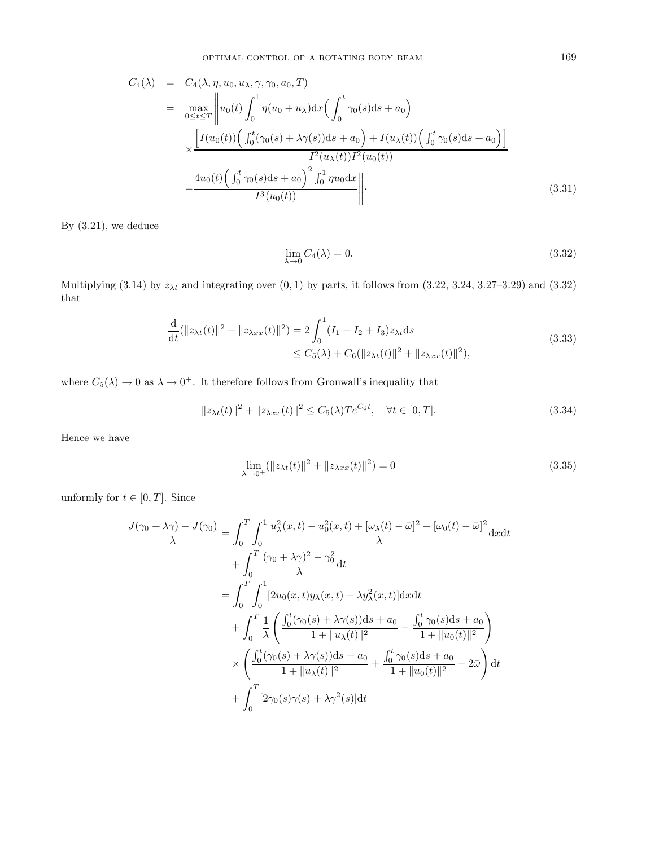$$
C_4(\lambda) = C_4(\lambda, \eta, u_0, u_\lambda, \gamma, \gamma_0, a_0, T)
$$
  
\n
$$
= \max_{0 \le t \le T} \left\| u_0(t) \int_0^1 \eta(u_0 + u_\lambda) dx \Big( \int_0^t \gamma_0(s) ds + a_0 \Big) \right\|_2
$$
  
\n
$$
\times \frac{\left[ I(u_0(t)) \Big( \int_0^t (\gamma_0(s) + \lambda \gamma(s)) ds + a_0 \Big) + I(u_\lambda(t)) \Big( \int_0^t \gamma_0(s) ds + a_0 \Big) \right]}{I^2(u_\lambda(t)) I^2(u_0(t))}
$$
  
\n
$$
- \frac{4u_0(t) \Big( \int_0^t \gamma_0(s) ds + a_0 \Big)^2 \int_0^1 \eta u_0 dx}{I^3(u_0(t))} \right\|.
$$
\n(3.31)

By (3.21), we deduce

$$
\lim_{\lambda \to 0} C_4(\lambda) = 0. \tag{3.32}
$$

Multiplying (3.14) by  $z_{\lambda t}$  and integrating over  $(0, 1)$  by parts, it follows from  $(3.22, 3.24, 3.27-3.29)$  and  $(3.32)$ that

$$
\frac{d}{dt}(\|z_{\lambda t}(t)\|^2 + \|z_{\lambda xx}(t)\|^2) = 2\int_0^1 (I_1 + I_2 + I_3)z_{\lambda t}ds
$$
\n
$$
\leq C_5(\lambda) + C_6(\|z_{\lambda t}(t)\|^2 + \|z_{\lambda xx}(t)\|^2),
$$
\n(3.33)

where  $C_5(\lambda) \to 0$  as  $\lambda \to 0^+$ . It therefore follows from Gronwall's inequality that

$$
||z_{\lambda t}(t)||^2 + ||z_{\lambda xx}(t)||^2 \le C_5(\lambda)Te^{C_6t}, \quad \forall t \in [0, T].
$$
\n(3.34)

Hence we have

$$
\lim_{\lambda \to 0^+} (\|z_{\lambda t}(t)\|^2 + \|z_{\lambda xx}(t)\|^2) = 0
$$
\n(3.35)

unformly for  $t \in [0, T]$ . Since

$$
\frac{J(\gamma_0 + \lambda \gamma) - J(\gamma_0)}{\lambda} = \int_0^T \int_0^1 \frac{u_\lambda^2(x, t) - u_0^2(x, t) + [\omega_\lambda(t) - \bar{\omega}]^2 - [\omega_0(t) - \bar{\omega}]^2}{\lambda} dxdt \n+ \int_0^T \frac{(\gamma_0 + \lambda \gamma)^2 - \gamma_0^2}{\lambda} dt \n= \int_0^T \int_0^1 [2u_0(x, t)y_\lambda(x, t) + \lambda y_\lambda^2(x, t)] dxdt \n+ \int_0^T \frac{1}{\lambda} \left( \frac{\int_0^t (\gamma_0(s) + \lambda \gamma(s))ds + a_0}{1 + ||u_\lambda(t)||^2} - \frac{\int_0^t \gamma_0(s)ds + a_0}{1 + ||u_0(t)||^2} \right) \n\times \left( \frac{\int_0^t (\gamma_0(s) + \lambda \gamma(s))ds + a_0}{1 + ||u_\lambda(t)||^2} + \frac{\int_0^t \gamma_0(s)ds + a_0}{1 + ||u_0(t)||^2} - 2\bar{\omega} \right) dt \n+ \int_0^T [2\gamma_0(s)\gamma(s) + \lambda \gamma^2(s)] dt
$$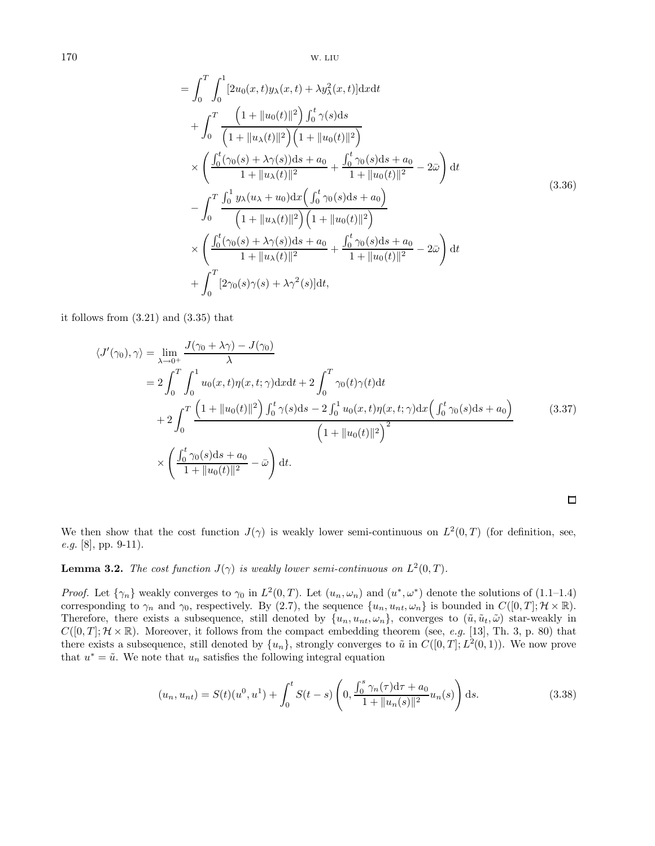$$
= \int_{0}^{T} \int_{0}^{1} [2u_{0}(x, t)y_{\lambda}(x, t) + \lambda y_{\lambda}^{2}(x, t)] \, dxdt
$$
  
+ 
$$
\int_{0}^{T} \frac{\left(1 + \|u_{0}(t)\|^{2}\right) \int_{0}^{t} \gamma(s) \, ds}{\left(1 + \|u_{\lambda}(t)\|^{2}\right) \left(1 + \|u_{0}(t)\|^{2}\right)}
$$
  

$$
\times \left(\frac{\int_{0}^{t} (\gamma_{0}(s) + \lambda \gamma(s)) \, ds + a_{0}}{1 + \|u_{\lambda}(t)\|^{2}} + \frac{\int_{0}^{t} \gamma_{0}(s) \, ds + a_{0}}{1 + \|u_{0}(t)\|^{2}} - 2\bar{\omega}\right) \, dt
$$
  
- 
$$
\int_{0}^{T} \frac{\int_{0}^{1} y_{\lambda}(u_{\lambda} + u_{0}) \, dx \left(\int_{0}^{t} \gamma_{0}(s) \, ds + a_{0}\right)}{\left(1 + \|u_{\lambda}(t)\|^{2}\right) \left(1 + \|u_{0}(t)\|^{2}\right)}
$$
  

$$
\times \left(\frac{\int_{0}^{t} (\gamma_{0}(s) + \lambda \gamma(s)) \, ds + a_{0}}{1 + \|u_{\lambda}(t)\|^{2}} + \frac{\int_{0}^{t} \gamma_{0}(s) \, ds + a_{0}}{1 + \|u_{0}(t)\|^{2}} - 2\bar{\omega}\right) \, dt
$$
  
+ 
$$
\int_{0}^{T} [2\gamma_{0}(s)\gamma(s) + \lambda \gamma^{2}(s)] \, dt,
$$
 (3.36)

it follows from (3.21) and (3.35) that

$$
\langle J'(\gamma_0), \gamma \rangle = \lim_{\lambda \to 0^+} \frac{J(\gamma_0 + \lambda \gamma) - J(\gamma_0)}{\lambda}
$$
  
=  $2 \int_0^T \int_0^1 u_0(x, t) \eta(x, t; \gamma) dx dt + 2 \int_0^T \gamma_0(t) \gamma(t) dt$   
+  $2 \int_0^T \frac{(1 + ||u_0(t)||^2) \int_0^t \gamma(s) ds - 2 \int_0^1 u_0(x, t) \eta(x, t; \gamma) dx \left( \int_0^t \gamma_0(s) ds + a_0 \right)}{(1 + ||u_0(t)||^2)^2} \times \left( \frac{\int_0^t \gamma_0(s) ds + a_0}{1 + ||u_0(t)||^2} - \bar{\omega} \right) dt.$ 

We then show that the cost function  $J(\gamma)$  is weakly lower semi-continuous on  $L^2(0,T)$  (for definition, see, e.g. [8], pp. 9-11).

**Lemma 3.2.** The cost function  $J(\gamma)$  is weakly lower semi-continuous on  $L^2(0,T)$ .

*Proof.* Let  $\{\gamma_n\}$  weakly converges to  $\gamma_0$  in  $L^2(0,T)$ . Let  $(u_n, \omega_n)$  and  $(u^*, \omega^*)$  denote the solutions of  $(1.1-1.4)$ corresponding to  $\gamma_n$  and  $\gamma_0$ , respectively. By (2.7), the sequence  $\{u_n, u_{nt}, \omega_n\}$  is bounded in  $C([0, T]; \mathcal{H} \times \mathbb{R})$ . Therefore, there exists a subsequence, still denoted by  $\{u_n, u_{nt}, \omega_n\}$ , converges to  $(\tilde{u}, \tilde{u}_t, \tilde{\omega})$  star-weakly in  $C([0,T]; \mathcal{H} \times \mathbb{R})$ . Moreover, it follows from the compact embedding theorem (see, e.g. [13], Th. 3, p. 80) that there exists a subsequence, still denoted by  $\{u_n\}$ , strongly converges to  $\tilde{u}$  in  $C([0,T]; L^2(0, 1))$ . We now prove that  $u^* = \tilde{u}$ . We note that  $u_n$  satisfies the following integral equation

$$
(u_n, u_{nt}) = S(t)(u^0, u^1) + \int_0^t S(t - s) \left( 0, \frac{\int_0^s \gamma_n(\tau) d\tau + a_0}{1 + ||u_n(s)||^2} u_n(s) \right) ds.
$$
 (3.38)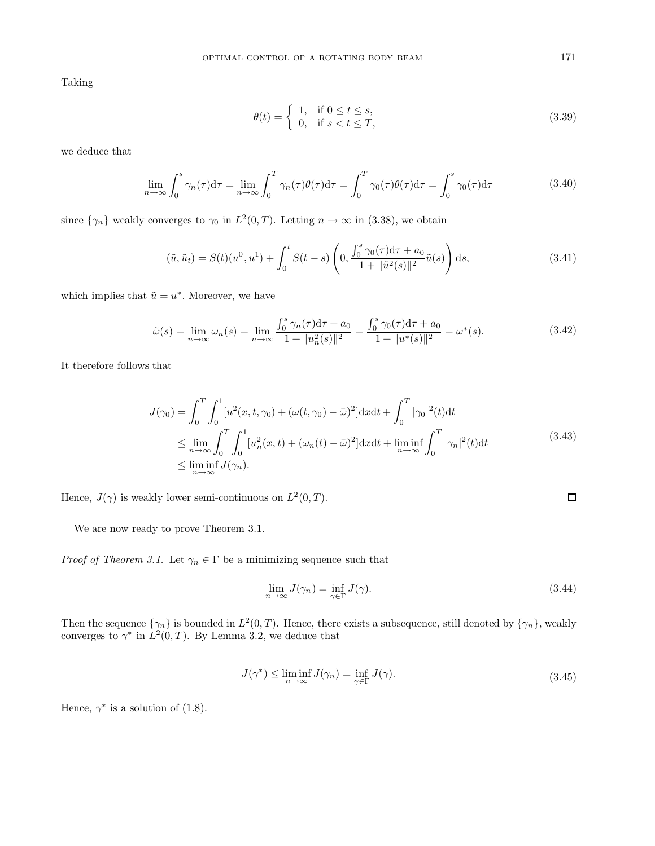Taking

$$
\theta(t) = \begin{cases} 1, & \text{if } 0 \le t \le s, \\ 0, & \text{if } s < t \le T, \end{cases} \tag{3.39}
$$

we deduce that

$$
\lim_{n \to \infty} \int_0^s \gamma_n(\tau) d\tau = \lim_{n \to \infty} \int_0^T \gamma_n(\tau) \theta(\tau) d\tau = \int_0^T \gamma_0(\tau) \theta(\tau) d\tau = \int_0^s \gamma_0(\tau) d\tau \tag{3.40}
$$

since  $\{\gamma_n\}$  weakly converges to  $\gamma_0$  in  $L^2(0,T)$ . Letting  $n \to \infty$  in (3.38), we obtain

$$
(\tilde{u}, \tilde{u}_t) = S(t)(u^0, u^1) + \int_0^t S(t - s) \left( 0, \frac{\int_0^s \gamma_0(\tau) d\tau + a_0}{1 + \|\tilde{u}^2(s)\|^2} \tilde{u}(s) \right) ds,
$$
\n(3.41)

which implies that  $\tilde{u} = u^*$ . Moreover, we have

$$
\tilde{\omega}(s) = \lim_{n \to \infty} \omega_n(s) = \lim_{n \to \infty} \frac{\int_0^s \gamma_n(\tau) d\tau + a_0}{1 + \|u_n^2(s)\|^2} = \frac{\int_0^s \gamma_0(\tau) d\tau + a_0}{1 + \|u^*(s)\|^2} = \omega^*(s).
$$
\n(3.42)

It therefore follows that

$$
J(\gamma_0) = \int_0^T \int_0^1 [u^2(x, t, \gamma_0) + (\omega(t, \gamma_0) - \bar{\omega})^2] dx dt + \int_0^T |\gamma_0|^2(t) dt
$$
  
\n
$$
\leq \lim_{n \to \infty} \int_0^T \int_0^1 [u_n^2(x, t) + (\omega_n(t) - \bar{\omega})^2] dx dt + \lim_{n \to \infty} \int_0^T |\gamma_n|^2(t) dt
$$
  
\n
$$
\leq \liminf_{n \to \infty} J(\gamma_n).
$$
\n(3.43)

Hence,  $J(\gamma)$  is weakly lower semi-continuous on  $L^2(0,T)$ .

We are now ready to prove Theorem 3.1.

*Proof of Theorem 3.1.* Let  $\gamma_n \in \Gamma$  be a minimizing sequence such that

$$
\lim_{n \to \infty} J(\gamma_n) = \inf_{\gamma \in \Gamma} J(\gamma). \tag{3.44}
$$

Then the sequence  $\{\gamma_n\}$  is bounded in  $L^2(0,T)$ . Hence, there exists a subsequence, still denoted by  $\{\gamma_n\}$ , weakly converges to  $\gamma^*$  in  $L^2(0,T)$ . By Lemma 3.2, we deduce that

$$
J(\gamma^*) \le \liminf_{n \to \infty} J(\gamma_n) = \inf_{\gamma \in \Gamma} J(\gamma). \tag{3.45}
$$

Hence,  $\gamma^*$  is a solution of (1.8).

 $\Box$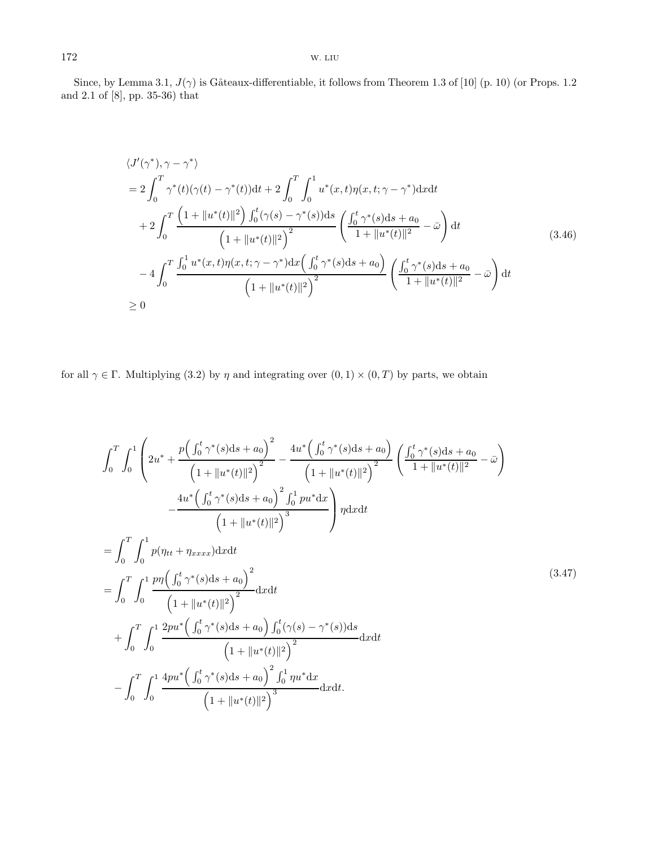Since, by Lemma 3.1,  $J(\gamma)$  is Gâteaux-differentiable, it follows from Theorem 1.3 of [10] (p. 10) (or Props. 1.2 and 2.1 of [8], pp. 35-36) that

$$
\langle J'(\gamma^*), \gamma - \gamma^* \rangle
$$
  
=  $2 \int_0^T \gamma^*(t) (\gamma(t) - \gamma^*(t)) dt + 2 \int_0^T \int_0^1 u^*(x, t) \eta(x, t; \gamma - \gamma^*) dx dt$   
+  $2 \int_0^T \frac{\left(1 + \|u^*(t)\|^2\right) \int_0^t (\gamma(s) - \gamma^*(s)) ds}{\left(1 + \|u^*(t)\|^2\right)^2} \left(\frac{\int_0^t \gamma^*(s) ds + a_0}{1 + \|u^*(t)\|^2} - \bar{\omega}\right) dt$   
-  $4 \int_0^T \frac{\int_0^1 u^*(x, t) \eta(x, t; \gamma - \gamma^*) dx \left(\int_0^t \gamma^*(s) ds + a_0\right)}{\left(1 + \|u^*(t)\|^2\right)^2} \left(\frac{\int_0^t \gamma^*(s) ds + a_0}{1 + \|u^*(t)\|^2} - \bar{\omega}\right) dt$   
 $\geq 0$  (1)

for all  $\gamma \in \Gamma$ . Multiplying (3.2) by  $\eta$  and integrating over  $(0, 1) \times (0, T)$  by parts, we obtain

Z <sup>T</sup> 0 Z <sup>1</sup> 0 2u<sup>∗</sup> + p R <sup>t</sup> <sup>0</sup> γ∗(s)ds + a<sup>0</sup> 2 1 + ku∗(t)k<sup>2</sup> <sup>2</sup> <sup>−</sup> 4u<sup>∗</sup> R <sup>t</sup> <sup>0</sup> γ∗(s)ds + a<sup>0</sup> 1 + ku∗(t)k<sup>2</sup> 2 R <sup>t</sup> <sup>0</sup> γ∗(s)ds + a<sup>0</sup> 1 + <sup>k</sup>u∗(t)k<sup>2</sup> <sup>−</sup> <sup>ω</sup>¯ ! − 4u<sup>∗</sup> R <sup>t</sup> <sup>0</sup> γ∗(s)ds + a<sup>0</sup> 2 R 1 <sup>0</sup> pu∗dx 1 + ku∗(t)k<sup>2</sup> 3 <sup>η</sup>dxd<sup>t</sup> = Z <sup>T</sup> 0 Z <sup>1</sup> 0 p(ηtt + ηxxxx)dxdt = Z <sup>T</sup> 0 Z <sup>1</sup> 0 pη R <sup>t</sup> <sup>0</sup> γ∗(s)ds + a<sup>0</sup> 2 1 + ku∗(t)k<sup>2</sup> <sup>2</sup> <sup>d</sup>xd<sup>t</sup> + Z <sup>T</sup> 0 Z <sup>1</sup> 0 2pu<sup>∗</sup> R <sup>t</sup> <sup>0</sup> γ∗(s)ds + a<sup>0</sup> R <sup>t</sup> <sup>0</sup> (γ(s) − γ∗(s))ds 1 + ku∗(t)k<sup>2</sup> <sup>2</sup> <sup>d</sup>xd<sup>t</sup> − Z <sup>T</sup> 0 Z <sup>1</sup> 0 4pu<sup>∗</sup> R <sup>t</sup> <sup>0</sup> γ∗(s)ds + a<sup>0</sup> 2 R 1 <sup>0</sup> ηu∗dx 1 + ku∗(t)k<sup>2</sup> <sup>3</sup> <sup>d</sup>xdt. (3.47)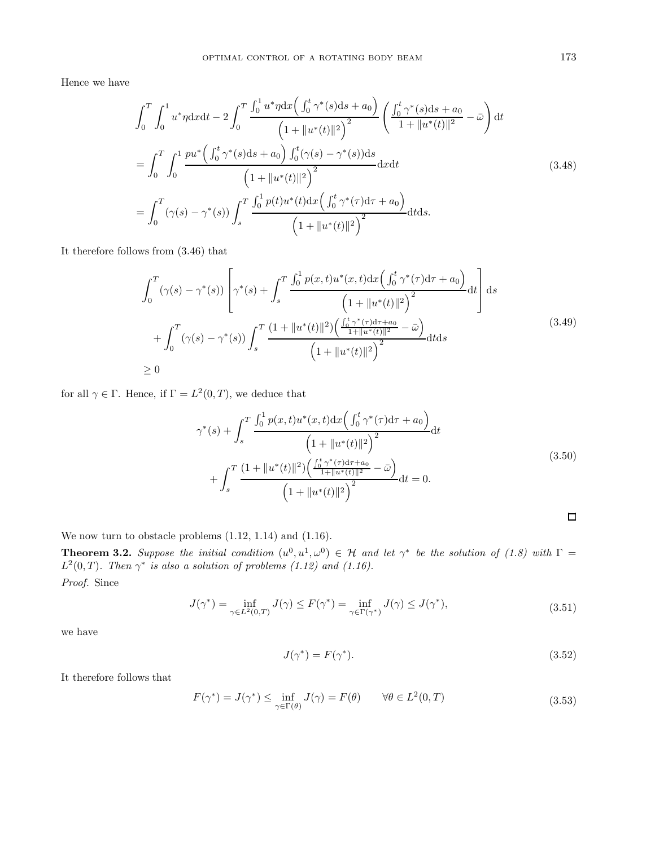Hence we have

$$
\int_{0}^{T} \int_{0}^{1} u^{*} \eta \mathrm{d}x \mathrm{d}t - 2 \int_{0}^{T} \frac{\int_{0}^{1} u^{*} \eta \mathrm{d}x \left( \int_{0}^{t} \gamma^{*}(s) \mathrm{d}s + a_{0} \right)}{\left( 1 + \| u^{*}(t) \|^{2} \right)^{2}} \left( \frac{\int_{0}^{t} \gamma^{*}(s) \mathrm{d}s + a_{0}}{1 + \| u^{*}(t) \|^{2}} - \bar{\omega} \right) \mathrm{d}t
$$
\n
$$
= \int_{0}^{T} \int_{0}^{1} \frac{pu^{*} \left( \int_{0}^{t} \gamma^{*}(s) \mathrm{d}s + a_{0} \right) \int_{0}^{t} (\gamma(s) - \gamma^{*}(s)) \mathrm{d}s}{\left( 1 + \| u^{*}(t) \|^{2} \right)^{2}} \mathrm{d}x \mathrm{d}t
$$
\n
$$
= \int_{0}^{T} (\gamma(s) - \gamma^{*}(s)) \int_{s}^{T} \frac{\int_{0}^{1} p(t) u^{*}(t) \mathrm{d}x \left( \int_{0}^{t} \gamma^{*}(\tau) \mathrm{d}\tau + a_{0} \right)}{\left( 1 + \| u^{*}(t) \|^{2} \right)^{2}} \mathrm{d}t \mathrm{d}s.
$$
\n
$$
(3.48)
$$

It therefore follows from (3.46) that

$$
\int_{0}^{T} (\gamma(s) - \gamma^{*}(s)) \left[ \gamma^{*}(s) + \int_{s}^{T} \frac{\int_{0}^{1} p(x,t)u^{*}(x,t)dx \left( \int_{0}^{t} \gamma^{*}(\tau)d\tau + a_{0} \right)}{\left( 1 + \|u^{*}(t)\|^{2} \right)^{2}} dt \right] ds
$$
\n
$$
+ \int_{0}^{T} (\gamma(s) - \gamma^{*}(s)) \int_{s}^{T} \frac{(1 + \|u^{*}(t)\|^{2}) \left( \frac{\int_{0}^{t} \gamma^{*}(\tau)d\tau + a_{0}}{1 + \|u^{*}(t)\|^{2}} - \bar{\omega} \right)}{\left( 1 + \|u^{*}(t)\|^{2} \right)^{2}} dt ds
$$
\n
$$
\geq 0
$$
\n(3.49)

for all  $\gamma \in \Gamma$ . Hence, if  $\Gamma = L^2(0,T)$ , we deduce that

$$
\gamma^*(s) + \int_s^T \frac{\int_0^1 p(x,t)u^*(x,t)dx \left(\int_0^t \gamma^*(\tau)d\tau + a_0\right)}{\left(1 + \|u^*(t)\|^2\right)^2} dt + \int_s^T \frac{\left(1 + \|u^*(t)\|^2\right) \left(\frac{\int_0^t \gamma^*(\tau)d\tau + a_0}{1 + \|u^*(t)\|^2} - \bar{\omega}\right)}{\left(1 + \|u^*(t)\|^2\right)^2} dt = 0.
$$
\n(3.50)

We now turn to obstacle problems  $(1.12, 1.14)$  and  $(1.16)$ .

**Theorem 3.2.** Suppose the initial condition  $(u^0, u^1, \omega^0) \in \mathcal{H}$  and let  $\gamma^*$  be the solution of (1.8) with  $\Gamma =$  $L^2(0,T)$ . Then  $\gamma^*$  is also a solution of problems (1.12) and (1.16). Proof. Since

$$
J(\gamma^*) = \inf_{\gamma \in L^2(0,T)} J(\gamma) \le F(\gamma^*) = \inf_{\gamma \in \Gamma(\gamma^*)} J(\gamma) \le J(\gamma^*),\tag{3.51}
$$

we have

$$
J(\gamma^*) = F(\gamma^*). \tag{3.52}
$$

It therefore follows that

$$
F(\gamma^*) = J(\gamma^*) \le \inf_{\gamma \in \Gamma(\theta)} J(\gamma) = F(\theta) \qquad \forall \theta \in L^2(0, T)
$$
\n(3.53)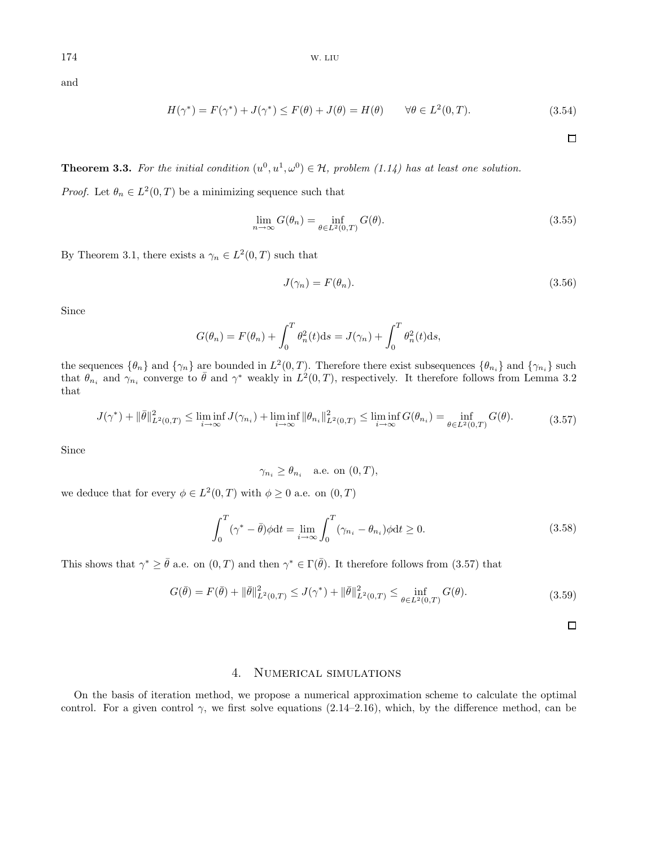and

$$
H(\gamma^*) = F(\gamma^*) + J(\gamma^*) \le F(\theta) + J(\theta) = H(\theta) \qquad \forall \theta \in L^2(0, T). \tag{3.54}
$$

 $\Box$ 

**Theorem 3.3.** For the initial condition  $(u^0, u^1, \omega^0) \in \mathcal{H}$ , problem (1.14) has at least one solution.

*Proof.* Let  $\theta_n \in L^2(0,T)$  be a minimizing sequence such that

$$
\lim_{n \to \infty} G(\theta_n) = \inf_{\theta \in L^2(0,T)} G(\theta).
$$
\n(3.55)

By Theorem 3.1, there exists a  $\gamma_n \in L^2(0,T)$  such that

$$
J(\gamma_n) = F(\theta_n). \tag{3.56}
$$

Since

$$
G(\theta_n) = F(\theta_n) + \int_0^T \theta_n^2(t) \mathrm{d}s = J(\gamma_n) + \int_0^T \theta_n^2(t) \mathrm{d}s,
$$

the sequences  $\{\theta_n\}$  and  $\{\gamma_n\}$  are bounded in  $L^2(0,T)$ . Therefore there exist subsequences  $\{\theta_{n_i}\}$  and  $\{\gamma_{n_i}\}$  such that  $\theta_{n_i}$  and  $\gamma_{n_i}$  converge to  $\bar{\theta}$  and  $\gamma^*$  weakly in  $L^2(0,T)$ , respectively. It therefore follows from Lemma 3.2 that

$$
J(\gamma^*) + \|\bar{\theta}\|_{L^2(0,T)}^2 \le \liminf_{i \to \infty} J(\gamma_{n_i}) + \liminf_{i \to \infty} \|\theta_{n_i}\|_{L^2(0,T)}^2 \le \liminf_{i \to \infty} G(\theta_{n_i}) = \inf_{\theta \in L^2(0,T)} G(\theta). \tag{3.57}
$$

Since

 $\gamma_{n_i} \geq \theta_{n_i}$  a.e. on  $(0, T)$ ,

we deduce that for every  $\phi \in L^2(0,T)$  with  $\phi \geq 0$  a.e. on  $(0,T)$ 

$$
\int_0^T (\gamma^* - \bar{\theta}) \phi dt = \lim_{i \to \infty} \int_0^T (\gamma_{n_i} - \theta_{n_i}) \phi dt \ge 0.
$$
\n(3.58)

This shows that  $\gamma^* \geq \bar{\theta}$  a.e. on  $(0, T)$  and then  $\gamma^* \in \Gamma(\bar{\theta})$ . It therefore follows from  $(3.57)$  that

$$
G(\bar{\theta}) = F(\bar{\theta}) + \|\bar{\theta}\|_{L^2(0,T)}^2 \le J(\gamma^*) + \|\bar{\theta}\|_{L^2(0,T)}^2 \le \inf_{\theta \in L^2(0,T)} G(\theta). \tag{3.59}
$$

 $\Box$ 

## 4. NUMERICAL SIMULATIONS

On the basis of iteration method, we propose a numerical approximation scheme to calculate the optimal control. For a given control  $\gamma$ , we first solve equations (2.14–2.16), which, by the difference method, can be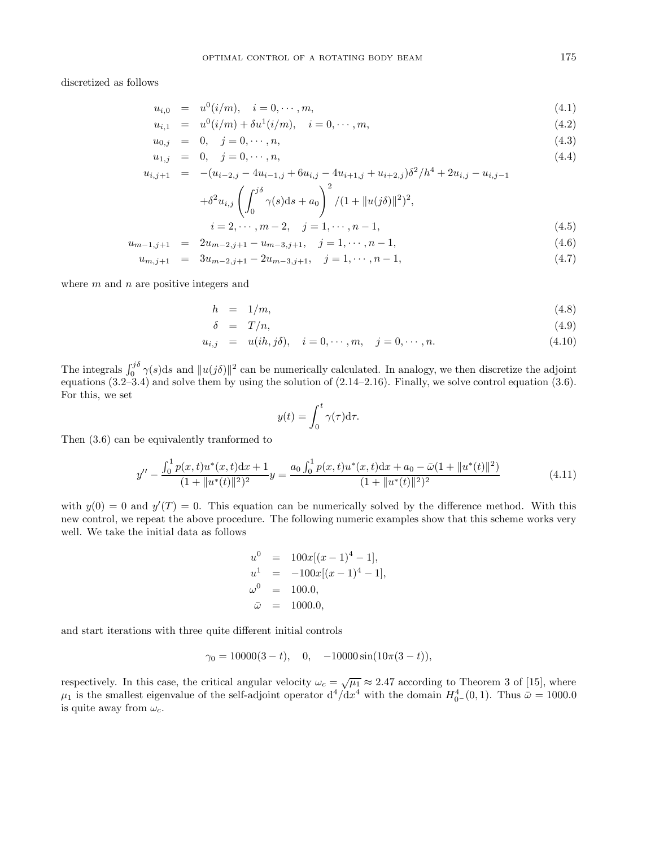discretized as follows

$$
u_{i,0} = u^{0}(i/m), \quad i = 0, \cdots, m,
$$
\n(4.1)

$$
u_{i,1} = u^{0}(i/m) + \delta u^{1}(i/m), \quad i = 0, \cdots, m,
$$
\n(4.2)

$$
u_{0,j} = 0, \quad j = 0, \cdots, n,\tag{4.3}
$$

$$
u_{1,j} = 0, \quad j = 0, \cdots, n,
$$
\n(4.4)

$$
u_{i,j+1} = -(u_{i-2,j} - 4u_{i-1,j} + 6u_{i,j} - 4u_{i+1,j} + u_{i+2,j})\delta^2/h^4 + 2u_{i,j} - u_{i,j-1}
$$
  
+ $\delta^2 u_{i,j} \left( \int^{j\delta} \gamma(s)ds + a_0 \right)^2 / (1 + ||u(j\delta)||^2)^2,$ 

$$
+ \delta^2 u_{i,j} \left( \int_0^{\eta(s) ds + a_0} \right) / (1 + \| u(j\delta) \|^2)^2,
$$
  
\n
$$
i = 2, \dots, m-2, \quad j = 1, \dots, n-1,
$$
\n(4.5)

$$
u_{m-1,j+1} = 2u_{m-2,j+1} - u_{m-3,j+1}, \quad j = 1, \cdots, n-1,
$$
\n(4.6)

$$
u_{m,j+1} = 3u_{m-2,j+1} - 2u_{m-3,j+1}, \quad j = 1, \cdots, n-1,
$$
\n(4.7)

where  $m$  and  $n$  are positive integers and

$$
h = 1/m,\tag{4.8}
$$

$$
\delta = T/n, \tag{4.9}
$$

$$
u_{i,j} = u(ih, j\delta), \quad i = 0, \cdots, m, \quad j = 0, \cdots, n.
$$
\n(4.10)

The integrals  $\int_0^{j\delta} \gamma(s)ds$  and  $||u(j\delta)||^2$  can be numerically calculated. In analogy, we then discretize the adjoint equations (3.2–3.4) and solve them by using the solution of (2.14–2.16). Finally, we solve control equation (3.6). For this, we set

$$
y(t) = \int_0^t \gamma(\tau) d\tau.
$$

Then (3.6) can be equivalently tranformed to

$$
y'' - \frac{\int_0^1 p(x,t)u^*(x,t)dx + 1}{(1 + \|u^*(t)\|^2)^2}y = \frac{a_0 \int_0^1 p(x,t)u^*(x,t)dx + a_0 - \bar{\omega}(1 + \|u^*(t)\|^2)}{(1 + \|u^*(t)\|^2)^2}
$$
(4.11)

with  $y(0) = 0$  and  $y'(T) = 0$ . This equation can be numerically solved by the difference method. With this new control, we repeat the above procedure. The following numeric examples show that this scheme works very well. We take the initial data as follows

$$
u0 = 100x[(x-1)4-1],\n u1 = -100x[(x-1)4-1],\n \omega0 = 100.0,\n \bar{\omega} = 1000.0,
$$

and start iterations with three quite different initial controls

$$
\gamma_0 = 10000(3-t), \quad 0, \quad -10000\sin(10\pi(3-t)),
$$

respectively. In this case, the critical angular velocity  $\omega_c = \sqrt{\mu_1} \approx 2.47$  according to Theorem 3 of [15], where  $\mu_1$  is the smallest eigenvalue of the self-adjoint operator  $d^4/dx^4$  with the domain  $H^4_{0-}(0,1)$ . Thus  $\bar{\omega} = 1000.0$ is quite away from  $\omega_c$ .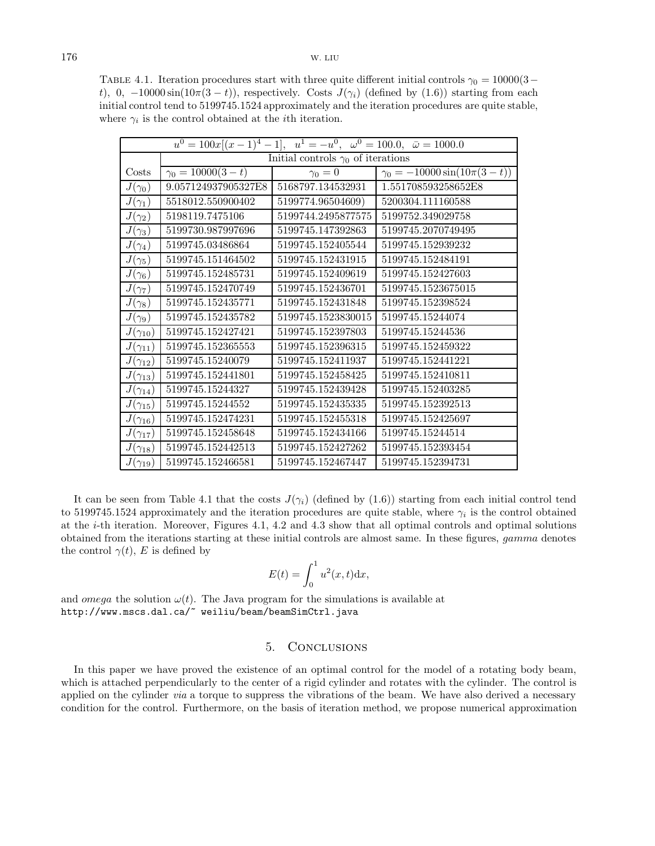TABLE 4.1. Iteration procedures start with three quite different initial controls  $\gamma_0 = 10000(3-\mathcal{O})$ t), 0,  $-10000 \sin(10\pi(3-t))$ , respectively. Costs  $J(\gamma_i)$  (defined by (1.6)) starting from each initial control tend to 5199745.1524 approximately and the iteration procedures are quite stable, where  $\gamma_i$  is the control obtained at the *i*th iteration.

| $u^0 = 100x[(x-1)^4 - 1], u^1 = -u^0, \omega^0 = 100.0, \overline{\omega} = 1000.0$ |                                           |                    |                                      |
|-------------------------------------------------------------------------------------|-------------------------------------------|--------------------|--------------------------------------|
|                                                                                     | Initial controls $\gamma_0$ of iterations |                    |                                      |
| Costs                                                                               | $\gamma_0 = 10000(3-t)$                   | $\gamma_0=0$       | $\gamma_0 = -10000 \sin(10\pi(3-t))$ |
| $J(\gamma_0)$                                                                       | 9.057124937905327E8                       | 5168797.134532931  | 1.551708593258652E8                  |
| $J(\gamma_1)$                                                                       | 5518012.550900402                         | 5199774.96504609)  | 5200304.111160588                    |
| $J(\gamma_2)$                                                                       | 5198119.7475106                           | 5199744.2495877575 | 5199752.349029758                    |
| $J(\gamma_3)$                                                                       | 5199730.987997696                         | 5199745.147392863  | 5199745.2070749495                   |
| $J(\gamma_4)$                                                                       | 5199745.03486864                          | 5199745.152405544  | 5199745.152939232                    |
| $J(\gamma_5)$                                                                       | 5199745.151464502                         | 5199745.152431915  | 5199745.152484191                    |
| $J(\gamma_6)$                                                                       | 5199745.152485731                         | 5199745.152409619  | 5199745.152427603                    |
| $J(\gamma_7)$                                                                       | 5199745.152470749                         | 5199745.152436701  | 5199745.1523675015                   |
| $J(\gamma_8)$                                                                       | 5199745.152435771                         | 5199745.152431848  | 5199745.152398524                    |
| $J(\gamma_9)$                                                                       | 5199745.152435782                         | 5199745.1523830015 | 5199745.15244074                     |
| $J(\gamma_{10})$                                                                    | 5199745.152427421                         | 5199745.152397803  | 5199745.15244536                     |
| $J(\gamma_{11})$                                                                    | 5199745.152365553                         | 5199745.152396315  | 5199745.152459322                    |
| $J(\gamma_{12})$                                                                    | 5199745.15240079                          | 5199745.152411937  | 5199745.152441221                    |
| $J(\gamma_{13})$                                                                    | 5199745.152441801                         | 5199745.152458425  | 5199745.152410811                    |
| $J(\gamma_{14})$                                                                    | 5199745.15244327                          | 5199745.152439428  | 5199745.152403285                    |
| $J(\gamma_{15})$                                                                    | 5199745.15244552                          | 5199745.152435335  | 5199745.152392513                    |
| $J(\gamma_{16})$                                                                    | 5199745.152474231                         | 5199745.152455318  | 5199745.152425697                    |
| $J(\gamma_{17})$                                                                    | 5199745.152458648                         | 5199745.152434166  | 5199745.15244514                     |
| $J(\gamma_{18})$                                                                    | 5199745.152442513                         | 5199745.152427262  | 5199745.152393454                    |
| $J(\gamma_{19})$                                                                    | 5199745.152466581                         | 5199745.152467447  | 5199745.152394731                    |

It can be seen from Table 4.1 that the costs  $J(\gamma_i)$  (defined by (1.6)) starting from each initial control tend to 5199745.1524 approximately and the iteration procedures are quite stable, where  $\gamma_i$  is the control obtained at the i-th iteration. Moreover, Figures 4.1, 4.2 and 4.3 show that all optimal controls and optimal solutions obtained from the iterations starting at these initial controls are almost same. In these figures, gamma denotes the control  $\gamma(t)$ , E is defined by

$$
E(t) = \int_0^1 u^2(x, t) \mathrm{d}x,
$$

and *omega* the solution  $\omega(t)$ . The Java program for the simulations is available at http://www.mscs.dal.ca/~ weiliu/beam/beamSimCtrl.java

## 5. Conclusions

In this paper we have proved the existence of an optimal control for the model of a rotating body beam, which is attached perpendicularly to the center of a rigid cylinder and rotates with the cylinder. The control is applied on the cylinder *via* a torque to suppress the vibrations of the beam. We have also derived a necessary condition for the control. Furthermore, on the basis of iteration method, we propose numerical approximation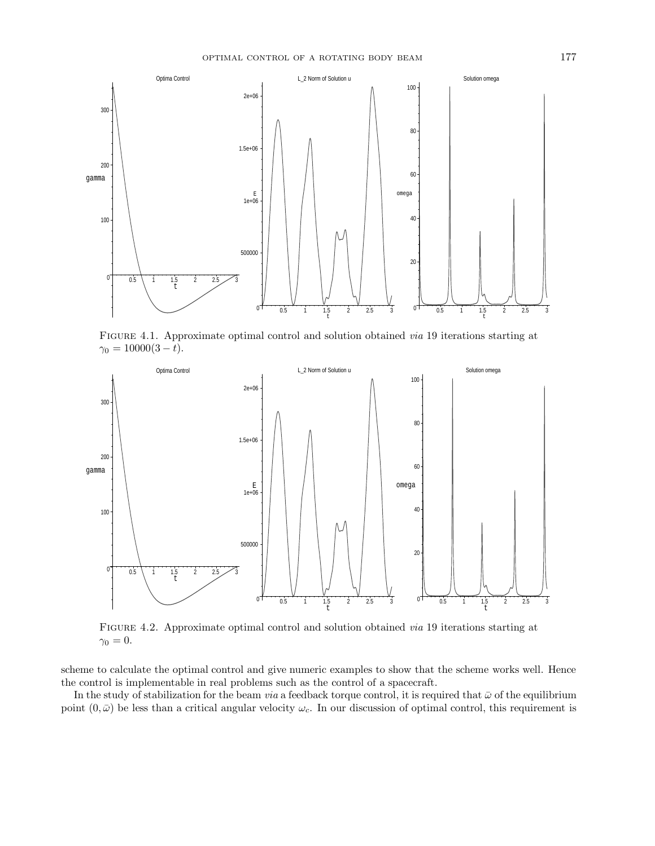

FIGURE 4.1. Approximate optimal control and solution obtained *via* 19 iterations starting at  $\gamma_0 = 10000(3-t).$ 



Figure 4.2. Approximate optimal control and solution obtained via 19 iterations starting at  $\gamma_0 = 0.$ 

scheme to calculate the optimal control and give numeric examples to show that the scheme works well. Hence the control is implementable in real problems such as the control of a spacecraft.

In the study of stabilization for the beam *via* a feedback torque control, it is required that  $\bar{\omega}$  of the equilibrium point  $(0, \bar{\omega})$  be less than a critical angular velocity  $\omega_c$ . In our discussion of optimal control, this requirement is